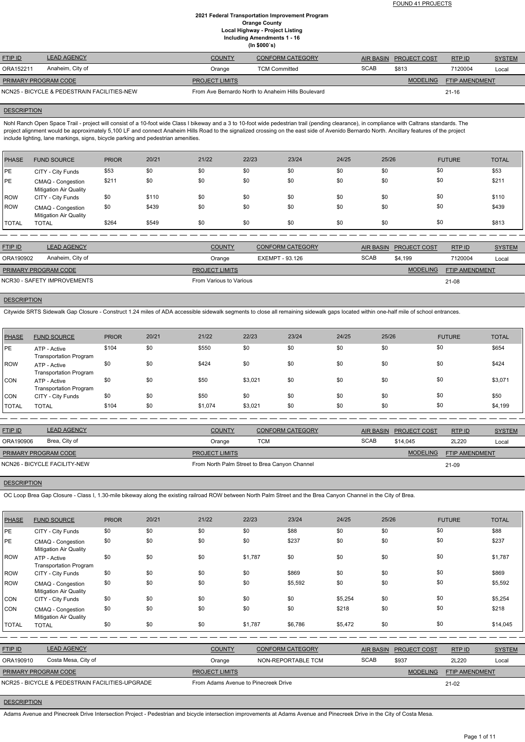FOUND 41 PROJECTS

### **2021 Federal Transportation Improvement Program Orange County Local Highway - Project Listing Including Amendments 1 - 16 (In \$000`s)**

| ,  .                                        |                    |                       |                                                    |             |                        |                       |               |  |
|---------------------------------------------|--------------------|-----------------------|----------------------------------------------------|-------------|------------------------|-----------------------|---------------|--|
| <b>FTIP ID</b>                              | <b>LEAD AGENCY</b> | <b>COUNTY</b>         | CONFORM CATEGORY                                   |             | AIR BASIN PROJECT COST | RTP ID                | <b>SYSTEM</b> |  |
| ORA152211                                   | Anaheim, City of   | Orange                | <b>TCM Committed</b>                               | <b>SCAB</b> | \$813                  | 7120004               | Local         |  |
| <b>PRIMARY PROGRAM CODE</b>                 |                    | <b>PROJECT LIMITS</b> |                                                    |             | <b>MODELING</b>        | <b>FTIP AMENDMENT</b> |               |  |
| NCN25 - BICYCLE & PEDESTRAIN FACILITIES-NEW |                    |                       | From Ave Bernardo North to Anaheim Hills Boulevard |             |                        | $21 - 16$             |               |  |

#### **DESCRIPTION**

Nohl Ranch Open Space Trail - project will consist of a 10-foot wide Class I bikeway and a 3 to 10-foot wide pedestrian trail (pending clearance), in compliance with Caltrans standards. The project alignment would be approximately 5,100 LF and connect Anaheim Hills Road to the signalized crossing on the east side of Avenido Bernardo North. Ancillary features of the project include lighting, lane markings, signs, bicycle parking and pedestrian amenities.

| <b>PHASE</b> | <b>FUND SOURCE</b>                                 | <b>PRIOR</b> | 20/21 | 21/22 | 22/23 | 23/24 | 24/25 | 25/26 | <b>FUTURE</b> | <b>TOTAL</b> |
|--------------|----------------------------------------------------|--------------|-------|-------|-------|-------|-------|-------|---------------|--------------|
| <b>IPE</b>   | CITY - City Funds                                  | \$53         | \$0   | \$0   | \$0   | \$0   | \$0   | \$0   | \$0           | \$53         |
| <b>PE</b>    | CMAQ - Congestion<br><b>Mitigation Air Quality</b> | \$211        | \$0   | \$0   | \$0   | \$0   | \$0   | \$0   | \$0           | \$211        |
| ROW          | CITY - City Funds                                  | \$0          | \$110 | \$0   | \$0   | \$0   | \$0   | \$0   | \$0           | \$110        |
| ROW          | CMAQ - Congestion<br><b>Mitigation Air Quality</b> | \$0          | \$439 | \$0   | \$0   | \$0   | \$0   | \$0   | \$0           | \$439        |
| <b>TOTAL</b> | <b>TOTAL</b>                                       | \$264        | \$549 | \$0   | \$0   | \$0   | \$0   | \$0   | \$0           | \$813        |

| <b>FTIP ID</b>              | <b>LEAD AGENCY</b> | <b>COUNTY</b>           | <b>CONFORM CATEGORY</b> |             | AIR BASIN PROJECT COST | RTP ID                | <b>SYSTEM</b> |
|-----------------------------|--------------------|-------------------------|-------------------------|-------------|------------------------|-----------------------|---------------|
| ORA190902                   | Anaheim, City of   | Orange                  | EXEMPT - 93.126         | <b>SCAB</b> | \$4.199                | 7120004               | Local         |
| <b>PRIMARY PROGRAM CODE</b> |                    | <b>PROJECT LIMITS</b>   |                         |             | <b>MODELING</b>        | <b>FTIP AMENDMENT</b> |               |
| NCR30 - SAFETY IMPROVEMENTS |                    | From Various to Various |                         |             |                        | 21-08                 |               |

# **DESCRIPTION**

Citywide SRTS Sidewalk Gap Closure - Construct 1.24 miles of ADA accessible sidewalk segments to close all remaining sidewalk gaps located within one-half mile of school entrances.

| PHASE          | <b>FUND SOURCE</b>                            | <b>PRIOR</b> | 20/21 | 21/22   | 22/23   | 23/24 | 24/25 | 25/26 | <b>FUTURE</b> | <b>TOTAL</b> |
|----------------|-----------------------------------------------|--------------|-------|---------|---------|-------|-------|-------|---------------|--------------|
| <b>IPE</b>     | ATP - Active<br><b>Transportation Program</b> | \$104        | \$0   | \$550   | \$0     | \$0   | \$0   | \$0   | \$0           | \$654        |
| <b>IROW</b>    | ATP - Active<br><b>Transportation Program</b> | \$0          | \$0   | \$424   | \$0     | \$0   | \$0   | \$0   | \$0           | \$424        |
| CON            | ATP - Active<br><b>Transportation Program</b> | \$0          | \$0   | \$50    | \$3,021 | \$0   | \$0   | \$0   | \$0           | \$3,071      |
| CON            | CITY - City Funds                             | \$0          | \$0   | \$50    | \$0     | \$0   | \$0   | \$0   | \$0           | \$50         |
| <b>I</b> TOTAL | <b>TOTAL</b>                                  | \$104        | \$0   | \$1,074 | \$3,021 | \$0   | \$0   | \$0   | \$0           | \$4,199      |

| <b>FTIP ID</b>       | <b>LEAD AGENCY</b>           | <b>COUNTY</b>                                 | <b>CONFORM CATEGORY</b> |             | AIR BASIN PROJECT COST | RTP ID                | <b>SYSTEM</b> |
|----------------------|------------------------------|-----------------------------------------------|-------------------------|-------------|------------------------|-----------------------|---------------|
| ORA190906            | Brea, City of                | Orange                                        | тсм                     | <b>SCAB</b> | \$14.045               | 2L220                 | Local         |
| PRIMARY PROGRAM CODE |                              | <b>PROJECT LIMITS</b>                         |                         |             | <b>MODELING</b>        | <b>FTIP AMENDMENT</b> |               |
|                      | NCN26 - BICYCLE FACILITY-NEW | From North Palm Street to Brea Canyon Channel |                         |             |                        | 21-09                 |               |

## **DESCRIPTION**

OC Loop Brea Gap Closure - Class I, 1.30-mile bikeway along the existing railroad ROW between North Palm Street and the Brea Canyon Channel in the City of Brea.

| <b>PHASE</b> | <b>FUND SOURCE</b>                                 | <b>PRIOR</b> | 20/21 | 21/22                                | 22/23   | 23/24                   | 24/25   | 25/26            |                     | <b>FUTURE</b>         | <b>TOTAL</b>  |
|--------------|----------------------------------------------------|--------------|-------|--------------------------------------|---------|-------------------------|---------|------------------|---------------------|-----------------------|---------------|
| PE           | CITY - City Funds                                  | \$0          | \$0   | \$0                                  | \$0     | \$88                    | \$0     | \$0              |                     | \$0                   | \$88          |
| PE           | CMAQ - Congestion<br><b>Mitigation Air Quality</b> | \$0          | \$0   | \$0                                  | \$0     | \$237                   | \$0     | \$0              |                     | \$0                   | \$237         |
| ROW          | ATP - Active<br><b>Transportation Program</b>      | \$0          | \$0   | \$0                                  | \$1,787 | \$0                     | \$0     | \$0              |                     | \$0                   | \$1,787       |
| ROW          | CITY - City Funds                                  | \$0          | \$0   | \$0                                  | \$0     | \$869                   | \$0     | \$0              |                     | \$0                   | \$869         |
| ROW          | CMAQ - Congestion<br><b>Mitigation Air Quality</b> | \$0          | \$0   | \$0                                  | \$0     | \$5,592                 | \$0     | \$0              |                     | \$0                   | \$5,592       |
| <b>CON</b>   | CITY - City Funds                                  | \$0          | \$0   | \$0                                  | \$0     | \$0                     | \$5,254 | \$0              |                     | \$0                   | \$5,254       |
| <b>CON</b>   | CMAQ - Congestion<br><b>Mitigation Air Quality</b> | \$0          | \$0   | \$0                                  | \$0     | \$0                     | \$218   | \$0              |                     | \$0                   | \$218         |
| <b>TOTAL</b> | <b>TOTAL</b>                                       | \$0          | \$0   | \$0                                  | \$1,787 | \$6,786                 | \$5,472 | \$0              |                     | \$0                   | \$14,045      |
|              |                                                    |              |       |                                      |         |                         |         |                  |                     |                       |               |
| FTIP ID      | <b>LEAD AGENCY</b>                                 |              |       | <b>COUNTY</b>                        |         | <b>CONFORM CATEGORY</b> |         | <b>AIR BASIN</b> | <b>PROJECT COST</b> | RTP ID                | <b>SYSTEM</b> |
| ORA190910    | Costa Mesa, City of                                |              |       | Orange                               |         | NON-REPORTABLE TCM      |         | <b>SCAB</b>      | \$937               | 2L220                 | Local         |
|              | PRIMARY PROGRAM CODE                               |              |       | <b>PROJECT LIMITS</b>                |         |                         |         |                  | <b>MODELING</b>     | <b>FTIP AMENDMENT</b> |               |
|              | NCR25 - BICYCLE & PEDESTRAIN FACILITIES-UPGRADE    |              |       | From Adams Avenue to Pinecreek Drive |         |                         |         |                  |                     | $21-02$               |               |

## **DESCRIPTION**

Adams Avenue and Pinecreek Drive Intersection Project - Pedestrian and bicycle intersection improvements at Adams Avenue and Pinecreek Drive in the City of Costa Mesa.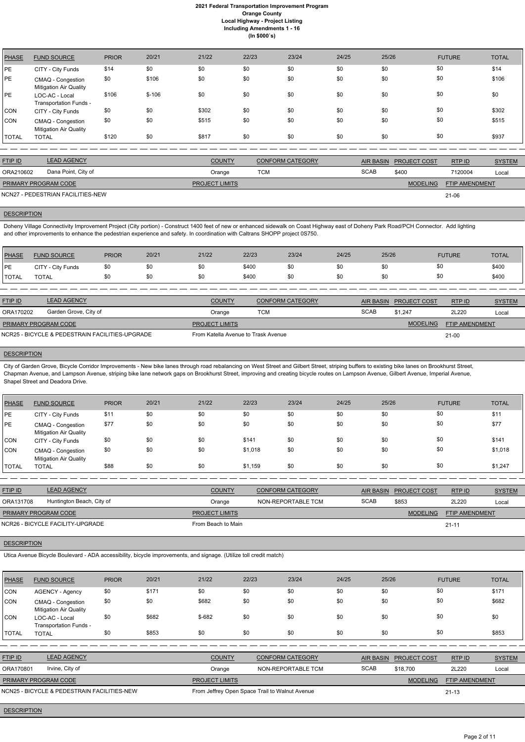| <b>PHASE</b> | <b>FUND SOURCE</b>                                 | <b>PRIOR</b> | 20/21   | 21/22 | 22/23 | 23/24 | 24/25 | 25/26 | <b>FUTURE</b> | <b>TOTAL</b> |
|--------------|----------------------------------------------------|--------------|---------|-------|-------|-------|-------|-------|---------------|--------------|
| <b>PE</b>    | CITY - City Funds                                  | \$14         | \$0     | \$0   | \$0   | \$0   | \$0   | \$0   | \$0           | \$14         |
| PE           | CMAQ - Congestion<br><b>Mitigation Air Quality</b> | \$0          | \$106   | \$0   | \$0   | \$0   | \$0   | \$0   | \$0           | \$106        |
| <b>PE</b>    | LOC-AC - Local<br>Transportation Funds -           | \$106        | $$-106$ | \$0   | \$0   | \$0   | \$0   | \$0   | \$0           | \$0          |
| <b>CON</b>   | CITY - City Funds                                  | \$0          | \$0     | \$302 | \$0   | \$0   | \$0   | \$0   | \$0           | \$302        |
| <b>CON</b>   | CMAQ - Congestion<br><b>Mitigation Air Quality</b> | \$0          | \$0     | \$515 | \$0   | \$0   | \$0   | \$0   | \$0           | \$515        |
| <b>TOTAL</b> | <b>TOTAL</b>                                       | \$120        | \$0     | \$817 | \$0   | \$0   | \$0   | \$0   | \$0           | \$937        |

| <b>FTIP ID</b>       | <b>LEAD AGENCY</b>                | <b>COUNTY</b>         | <b>CONFORM CATEGORY</b> | <b>AIR BASIN</b> | <b>PROJECT COST</b> | RTP ID                | <b>SYSTEM</b> |
|----------------------|-----------------------------------|-----------------------|-------------------------|------------------|---------------------|-----------------------|---------------|
| ORA210602            | Dana Point, City of               | Orange                | тсм                     | <b>SCAB</b>      | \$400               | 7120004               | Local         |
| PRIMARY PROGRAM CODE |                                   | <b>PROJECT LIMITS</b> |                         |                  | <b>MODELING</b>     | <b>FTIP AMENDMENT</b> |               |
|                      | NCN27 - PEDESTRIAN FACILITIES-NEW |                       |                         |                  |                     | 21-06                 |               |

# **DESCRIPTION**

Doheny Village Connectivity Improvement Project (City portion) - Construct 1400 feet of new or enhanced sidewalk on Coast Highway east of Doheny Park Road/PCH Connector. Add lighting and other improvements to enhance the pedestrian experience and safety. In coordination with Caltrans SHOPP project 0S750.

City of Garden Grove, Bicycle Corridor Improvements - New bike lanes through road rebalancing on West Street and Gilbert Street, striping buffers to existing bike lanes on Brookhurst Street, Chapman Avenue, and Lampson Avenue, striping bike lane network gaps on Brookhurst Street, improving and creating bicycle routes on Lampson Avenue, Gilbert Avenue, Imperial Avenue, Shapel Street and Deadora Drive.

| PHASE        | <b>FUND SOURCE</b> | <b>PRIOR</b> | 20/21 | 21/22 | 22/23 | 23/24 | 24/25 | 25/26 | <b>FUTURE</b> | <b>TOTAL</b> |
|--------------|--------------------|--------------|-------|-------|-------|-------|-------|-------|---------------|--------------|
| <b>IPE</b>   | CITY - City Funds  |              |       | \$Ο   | \$400 | \$0   | \$0   | \$0   |               | \$400        |
| <b>TOTAL</b> | <b>TOTAL</b>       |              |       | \$Ο   | \$400 | \$0   | \$0   | \$0   | $\sqrt{2}$    | \$400        |

| <b>FTIP ID</b>                                  | <b>LEAD AGENCY</b>    | <b>COUNTY</b>                       | <b>CONFORM CATEGORY</b> |             | AIR BASIN PROJECT COST | RTP ID                | <b>SYSTEM</b> |
|-------------------------------------------------|-----------------------|-------------------------------------|-------------------------|-------------|------------------------|-----------------------|---------------|
| ORA170202                                       | Garden Grove, City of | Orange                              | TCM                     | <b>SCAB</b> | \$1.247                | 2L220                 | Local         |
| <b>PRIMARY PROGRAM CODE</b>                     |                       | <b>PROJECT LIMITS</b>               |                         |             | <b>MODELING</b>        | <b>FTIP AMENDMENT</b> |               |
| NCR25 - BICYCLE & PEDESTRAIN FACILITIES-UPGRADE |                       | From Katella Avenue to Trask Avenue |                         |             |                        | $21 - 00$             |               |

## **DESCRIPTION**

| <b>PHASE</b> | <b>FUND SOURCE</b>                                 | <b>PRIOR</b> | 20/21 | 21/22 | 22/23   | 23/24 | 24/25 | 25/26 | <b>FUTURE</b> | <b>TOTAL</b> |
|--------------|----------------------------------------------------|--------------|-------|-------|---------|-------|-------|-------|---------------|--------------|
| PE           | CITY - City Funds                                  | \$11         | \$0   | \$0   | \$0     | \$0   | \$0   | \$0   | \$0           | \$11         |
| PE           | CMAQ - Congestion<br><b>Mitigation Air Quality</b> | \$77         | \$0   | \$0   | \$0     | \$0   | \$0   | \$0   | \$0           | \$77         |
| <b>CON</b>   | CITY - City Funds                                  | \$0          | \$0   | \$0   | \$141   | \$0   | \$0   | \$0   | \$0           | \$141        |
| <b>CON</b>   | CMAQ - Congestion<br><b>Mitigation Air Quality</b> | \$0          | \$0   | \$0   | \$1,018 | \$0   | \$0   | \$0   | \$0           | \$1,018      |
| <b>TOTAL</b> | <b>TOTAL</b>                                       | \$88         | \$0   | \$0   | \$1,159 | \$0   | \$0   | \$0   | \$0           | \$1,247      |

| <b>FTIP ID</b>              | <b>LEAD AGENCY</b>               | <b>COUNTY</b>         | <b>CONFORM CATEGORY</b> | <b>AIR BASIN</b> | <b>PROJECT COST</b> | RTPID                 | <b>SYSTEM</b> |
|-----------------------------|----------------------------------|-----------------------|-------------------------|------------------|---------------------|-----------------------|---------------|
| ORA131708                   | Huntington Beach, City of        | Orange                | NON-REPORTABLE TCM      | <b>SCAB</b>      | \$853               | 2L220                 | Local         |
| <b>PRIMARY PROGRAM CODE</b> |                                  | <b>PROJECT LIMITS</b> |                         |                  | <b>MODELING</b>     | <b>FTIP AMENDMENT</b> |               |
|                             | NCR26 - BICYCLE FACILITY-UPGRADE | From Beach to Main    |                         |                  |                     | $21 - 11$             |               |

**DESCRIPTION** 

Utica Avenue Bicycle Boulevard - ADA accessibility, bicycle improvements, and signage. (Utilize toll credit match)

| <b>PHASE</b>   | <b>FUND SOURCE</b>                                 | <b>PRIOR</b> | 20/21 | 21/22                                          | 22/23 | 23/24                   | 24/25       | 25/26            |                 | <b>FUTURE</b>  | <b>TOTAL</b>  |
|----------------|----------------------------------------------------|--------------|-------|------------------------------------------------|-------|-------------------------|-------------|------------------|-----------------|----------------|---------------|
| CON            | <b>AGENCY - Agency</b>                             | \$0          | \$171 | \$0                                            | \$0   | \$0                     | \$0         | \$0              | \$0             |                | \$171         |
| <b>ICON</b>    | CMAQ - Congestion<br><b>Mitigation Air Quality</b> | \$0          | \$0   | \$682                                          | \$0   | \$0                     | \$0         | \$0              | \$0             |                | \$682         |
| <b>ICON</b>    | LOC-AC - Local<br>Transportation Funds -           | \$0          | \$682 | $$-682$                                        | \$0   | \$0                     | \$0         | \$0              | \$0             |                | \$0           |
| <b>TOTAL</b>   | <b>TOTAL</b>                                       | \$0          | \$853 | \$0                                            | \$0   | \$0                     | \$0         | \$0              | \$0             |                | \$853         |
|                |                                                    |              |       |                                                |       |                         |             |                  |                 |                |               |
| <b>FTIP ID</b> | <b>LEAD AGENCY</b>                                 |              |       | <b>COUNTY</b>                                  |       | <b>CONFORM CATEGORY</b> |             | <b>AIR BASIN</b> | PROJECT COST    | RTP ID         | <b>SYSTEM</b> |
| ORA170801      | Irvine, City of                                    |              |       | Orange                                         |       | NON-REPORTABLE TCM      | <b>SCAB</b> |                  | \$18,700        | 2L220          | Local         |
|                | PRIMARY PROGRAM CODE                               |              |       | <b>PROJECT LIMITS</b>                          |       |                         |             |                  | <b>MODELING</b> | FTIP AMENDMENT |               |
|                | NCN25 - BICYCLE & PEDESTRAIN FACILITIES-NEW        |              |       | From Jeffrey Open Space Trail to Walnut Avenue |       |                         |             |                  |                 | $21 - 13$      |               |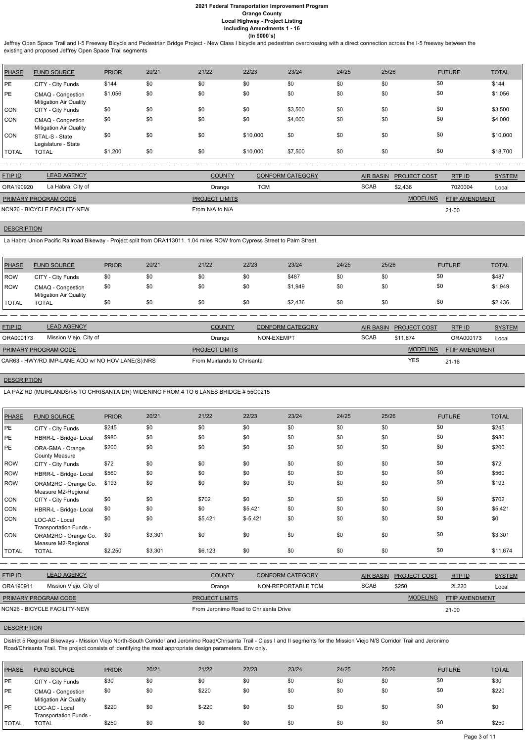Jeffrey Open Space Trail and I-5 Freeway Bicycle and Pedestrian Bridge Project - New Class I bicycle and pedestrian overcrossing with a direct connection across the I-5 freeway between the existing and proposed Jeffrey Open Space Trail segments

| <b>PHASE</b> | <b>FUND SOURCE</b>                                 | <b>PRIOR</b> | 20/21 | 21/22 | 22/23    | 23/24   | 24/25 | 25/26 | <b>FUTURE</b> | <b>TOTAL</b> |
|--------------|----------------------------------------------------|--------------|-------|-------|----------|---------|-------|-------|---------------|--------------|
| <b>PE</b>    | CITY - City Funds                                  | \$144        | \$0   | \$0   | \$0      | \$0     | \$0   | \$0   | \$0           | \$144        |
| PE           | CMAQ - Congestion<br><b>Mitigation Air Quality</b> | \$1,056      | \$0   | \$0   | \$0      | \$0     | \$0   | \$0   | \$0           | \$1,056      |
| <b>CON</b>   | CITY - City Funds                                  | \$0          | \$0   | \$0   | \$0      | \$3,500 | \$0   | \$0   | \$0           | \$3,500      |
| <b>CON</b>   | CMAQ - Congestion<br><b>Mitigation Air Quality</b> | \$0          | \$0   | \$0   | \$0      | \$4,000 | \$0   | \$0   | \$0           | \$4,000      |
| <b>CON</b>   | STAL-S - State<br>Legislature - State              | \$0          | \$0   | \$0   | \$10,000 | \$0     | \$0   | \$0   | \$0           | \$10,000     |
| <b>TOTAL</b> | <b>TOTAL</b>                                       | \$1,200      | \$0   | \$0   | \$10,000 | \$7,500 | \$0   | \$0   | \$0           | \$18,700     |

| <b>COUNTY</b>                                                                                          | <b>CONFORM CATEGORY</b> | <b>AIR BASIN</b> |                 | RTP ID              | <b>SYSTEM</b>                    |
|--------------------------------------------------------------------------------------------------------|-------------------------|------------------|-----------------|---------------------|----------------------------------|
| Orange                                                                                                 | TCM                     | <b>SCAB</b>      | \$2.436         | 7020004             | Local                            |
| <b>PROJECT LIMITS</b>                                                                                  |                         |                  | <b>MODELING</b> |                     |                                  |
| From N/A to N/A                                                                                        |                         |                  |                 |                     |                                  |
| <b>LEAD AGENCY</b><br>La Habra, City of<br><b>PRIMARY PROGRAM CODE</b><br>NCN26 - BICYCLE FACILITY-NEW |                         |                  |                 | <b>PROJECT COST</b> | <b>FTIP AMENDMENT</b><br>$21-00$ |

# **DESCRIPTION**

La Habra Union Pacific Railroad Bikeway - Project split from ORA113011. 1.04 miles ROW from Cypress Street to Palm Street.

| <b>PHASE</b> | <b>FUND SOURCE</b>                                 | <b>PRIOR</b> | 20/21 | 21/22 | 22/23 | 23/24   | 24/25 | 25/26 | <b>FUTURE</b> | <b>TOTAL</b> |
|--------------|----------------------------------------------------|--------------|-------|-------|-------|---------|-------|-------|---------------|--------------|
| <b>IROW</b>  | CITY - City Funds                                  | \$0          | \$0   | \$0   | \$0   | \$487   | \$0   | \$0   | \$0           | \$487        |
| ROW          | CMAQ - Congestion<br><b>Mitigation Air Quality</b> | \$0          | \$0   | \$0   | \$0   | \$1,949 | \$0   | \$0   | \$0           | \$1,949      |
| <b>TOTAL</b> | <b>TOTAL</b>                                       | \$0          | \$0   | \$0   | \$0   | \$2,436 | \$0   | \$0   | \$0           | \$2,436      |

| <b>FTIP ID</b>              | <b>LEAD AGENCY</b>                                | <b>COUNTY</b>               | <b>CONFORM CATEGORY</b> | AIR BASIN   | <b>PROJECT COST</b> | RTPID                 | <b>SYSTEM</b> |
|-----------------------------|---------------------------------------------------|-----------------------------|-------------------------|-------------|---------------------|-----------------------|---------------|
| ORA000173                   | Mission Viejo, City of                            | Orange                      | NON-EXEMPT              | <b>SCAB</b> | \$11.674            | ORA000173             | Local         |
| <b>PRIMARY PROGRAM CODE</b> |                                                   | <b>PROJECT LIMITS</b>       |                         |             | <b>MODELING</b>     | <b>FTIP AMENDMENT</b> |               |
|                             | CAR63 - HWY/RD IMP-LANE ADD w/ NO HOV LANE(S):NRS | From Muirlands to Chrisanta |                         |             | <b>YES</b>          | $21 - 16$             |               |

## **DESCRIPTION**

LA PAZ RD (MUIRLANDS/I-5 TO CHRISANTA DR) WIDENING FROM 4 TO 6 LANES BRIDGE # 55C0215

| PHASE        | <b>FUND SOURCE</b>                          | <b>PRIOR</b> | 20/21   | 21/22   | 22/23     | 23/24 | 24/25 | 25/26 | <b>FUTURE</b> | <b>TOTAL</b> |
|--------------|---------------------------------------------|--------------|---------|---------|-----------|-------|-------|-------|---------------|--------------|
| PE           | CITY - City Funds                           | \$245        | \$0     | \$0     | \$0       | \$0   | \$0   | \$0   | \$0           | \$245        |
| PE           | HBRR-L - Bridge- Local                      | \$980        | \$0     | \$0     | \$0       | \$0   | \$0   | \$0   | \$0           | \$980        |
| PE           | ORA-GMA - Orange<br><b>County Measure</b>   | \$200        | \$0     | \$0     | \$0       | \$0   | \$0   | \$0   | \$0           | \$200        |
| ROW          | CITY - City Funds                           | \$72         | \$0     | \$0     | \$0       | \$0   | \$0   | \$0   | \$0           | \$72         |
| <b>ROW</b>   | HBRR-L - Bridge- Local                      | \$560        | \$0     | \$0     | \$0       | \$0   | \$0   | \$0   | \$0           | \$560        |
| ROW          | ORAM2RC - Orange Co.<br>Measure M2-Regional | \$193        | \$0     | \$0     | \$0       | \$0   | \$0   | \$0   | \$0           | \$193        |
| <b>CON</b>   | CITY - City Funds                           | \$0          | \$0     | \$702   | \$0       | \$0   | \$0   | \$0   | \$0           | \$702        |
| <b>CON</b>   | HBRR-L - Bridge- Local                      | \$0          | \$0     | \$0     | \$5,421   | \$0   | \$0   | \$0   | \$0           | \$5,421      |
| <b>CON</b>   | LOC-AC - Local<br>Transportation Funds -    | \$0          | \$0     | \$5,421 | $$-5,421$ | \$0   | \$0   | \$0   | \$0           | \$0          |
| <b>CON</b>   | ORAM2RC - Orange Co.<br>Measure M2-Regional | \$0          | \$3,301 | \$0     | \$0       | \$0   | \$0   | \$0   | \$0           | \$3,301      |
| <b>TOTAL</b> | <b>TOTAL</b>                                | \$2,250      | \$3,301 | \$6,123 | \$0       | \$0   | \$0   | \$0   | \$0           | \$11,674     |

| <b>FTIP ID</b>               | <b>LEAD AGENCY</b>     | <b>COUNTY</b>                         | <b>CONFORM CATEGORY</b> | AIR BASIN   | <b>PROJECT COST</b> | RTP ID                | <b>SYSTEM</b> |
|------------------------------|------------------------|---------------------------------------|-------------------------|-------------|---------------------|-----------------------|---------------|
| ORA190911                    | Mission Viejo, City of | Orange                                | NON-REPORTABLE TCM      | <b>SCAB</b> | \$250               | 2L220                 | Local         |
| <b>PRIMARY PROGRAM CODE</b>  |                        | <b>PROJECT LIMITS</b>                 |                         |             | <b>MODELING</b>     | <b>FTIP AMENDMENT</b> |               |
| NCN26 - BICYCLE FACILITY-NEW |                        | From Jeronimo Road to Chrisanta Drive |                         | $21 - 00$   |                     |                       |               |

# **DESCRIPTION**

District 5 Regional Bikeways - Mission Viejo North-South Corridor and Jeronimo Road/Chrisanta Trail - Class I and II segments for the Mission Viejo N/S Corridor Trail and Jeronimo Road/Chrisanta Trail. The project consists of identifying the most appropriate design parameters. Env only.

| <b>PHASE</b> | <b>FUND SOURCE</b>                                 | <b>PRIOR</b> | 20/21 | 21/22   | 22/23 | 23/24 | 24/25 | 25/26 | <b>FUTURE</b> | <b>TOTAL</b> |
|--------------|----------------------------------------------------|--------------|-------|---------|-------|-------|-------|-------|---------------|--------------|
| <b>IPE</b>   | CITY - City Funds                                  | \$30         | \$0   | \$0     | \$0   | \$0   | \$0   | \$0   | \$0           | \$30         |
| PE           | CMAQ - Congestion<br><b>Mitigation Air Quality</b> | \$0          | \$0   | \$220   | \$0   | \$0   | \$0   | \$0   | \$0           | \$220        |
| PE           | LOC-AC - Local<br>Transportation Funds -           | \$220        | \$0   | $$-220$ | \$0   | \$0   | \$0   | \$0   | \$0           | \$0          |
| <b>TOTAL</b> | <b>TOTAL</b>                                       | \$250        | \$0   | \$0     | \$0   | \$0   | \$0   | \$0   | \$0           | \$250        |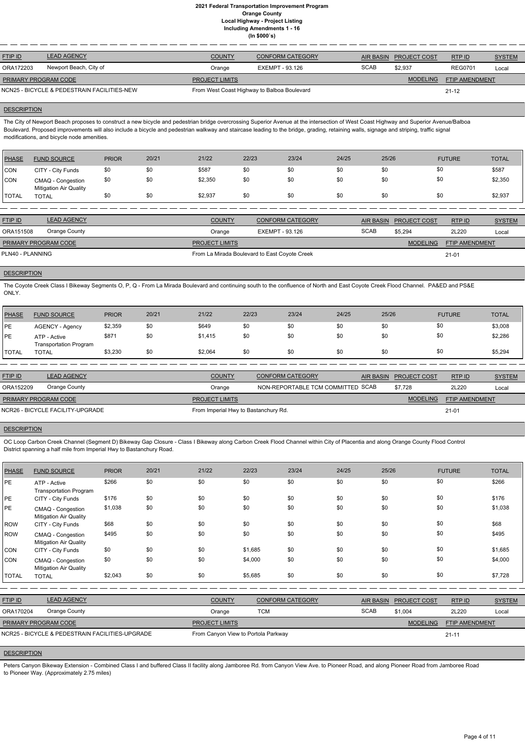| <b>FTIP ID</b>                              | <b>LEAD AGENCY</b>     | <b>COUNTY</b>                               | <b>CONFORM CATEGORY</b> | AIR BASIN   | <b>PROJECT COST</b> | RTPID                 | <b>SYSTEM</b> |
|---------------------------------------------|------------------------|---------------------------------------------|-------------------------|-------------|---------------------|-----------------------|---------------|
| ORA172203                                   | Newport Beach, City of | Orange                                      | EXEMPT - 93.126         | <b>SCAB</b> | \$2.937             | <b>REG0701</b>        | Local         |
| <b>PRIMARY PROGRAM CODE</b>                 |                        | <b>PROJECT LIMITS</b>                       |                         |             | <b>MODELING</b>     | <b>FTIP AMENDMENT</b> |               |
| NCN25 - BICYCLE & PEDESTRAIN FACILITIES-NEW |                        | From West Coast Highway to Balboa Boulevard |                         |             | $21 - 12$           |                       |               |

## **DESCRIPTION**

The City of Newport Beach proposes to construct a new bicycle and pedestrian bridge overcrossing Superior Avenue at the intersection of West Coast Highway and Superior Avenue/Balboa Boulevard. Proposed improvements will also include a bicycle and pedestrian walkway and staircase leading to the bridge, grading, retaining walls, signage and striping, traffic signal modifications, and bicycle node amenities.

| PHASE         | <b>FUND SOURCE</b>                                 | <b>PRIOR</b> | 20/21 | 21/22   | 22/23 | 23/24 | 24/25 | 25/26 | <b>FUTURE</b> | <b>TOTAL</b> |
|---------------|----------------------------------------------------|--------------|-------|---------|-------|-------|-------|-------|---------------|--------------|
| <b>CON</b>    | CITY - City Funds                                  | \$0          | \$0   | \$587   | \$0   | \$0   | \$0   | \$0   | \$0           | \$587        |
| <b>CON</b>    | CMAQ - Congestion<br><b>Mitigation Air Quality</b> | \$0          | \$0   | \$2,350 | \$0   | \$0   | \$0   | \$0   | \$0           | \$2,350      |
| <b>ITOTAL</b> | <b>TOTAL</b>                                       | \$0          | \$0   | \$2,937 | \$0   | \$0   | \$0   | \$0   | \$0           | \$2,937      |

| <b>FTIP ID</b>              | <b>LEAD AGENCY</b> | <b>COUNTY</b>                                 | <b>CONFORM CATEGORY</b> |             | AIR BASIN PROJECT COST | RTPID                 | <b>SYSTEM</b> |
|-----------------------------|--------------------|-----------------------------------------------|-------------------------|-------------|------------------------|-----------------------|---------------|
| ORA151508                   | Orange County      | Orange                                        | EXEMPT - 93.126         | <b>SCAB</b> | \$5,294                | 2L220                 | Local         |
| <b>PRIMARY PROGRAM CODE</b> |                    | <b>PROJECT LIMITS</b>                         |                         |             | <b>MODELING</b>        | <b>FTIP AMENDMENT</b> |               |
| PLN40 - PLANNING            |                    | From La Mirada Boulevard to East Coyote Creek |                         |             |                        | $21 - 01$             |               |

#### **DESCRIPTION**

The Coyote Creek Class I Bikeway Segments O, P, Q - From La Mirada Boulevard and continuing south to the confluence of North and East Coyote Creek Flood Channel. PA&ED and PS&E ONLY.

| 'TOTAL | <b>Transportation Program</b><br>TOTAL | \$3,230      | \$0   | \$2,064 | \$0   | \$0   | \$0   | \$0   | \$0           | \$5,294      |
|--------|----------------------------------------|--------------|-------|---------|-------|-------|-------|-------|---------------|--------------|
| PE     | ATP - Active                           | \$871        | \$0   | \$1,415 | \$0   | \$0   | \$0   | \$0   | \$0           | \$2,286      |
| PE     | <b>AGENCY - Agency</b>                 | \$2,359      | \$0   | \$649   | \$0   | \$0   | \$0   | \$0   | \$0           | \$3,008      |
| PHASE  | <b>FUND SOURCE</b>                     | <b>PRIOR</b> | 20/21 | 21/22   | 22/23 | 23/24 | 24/25 | 25/26 | <b>FUTURE</b> | <b>TOTAL</b> |

Peters Canyon Bikeway Extension - Combined Class I and buffered Class II facility along Jamboree Rd. from Canyon View Ave. to Pioneer Road, and along Pioneer Road from Jamboree Road to Pioneer Way. (Approximately 2.75 miles)

| <b>FTIP ID</b>              | <b>LEAD AGENCY</b>               | <b>COUNTY</b>                        | <b>CONFORM CATEGORY</b>           | AIR BASIN PROJECT COST | RTP ID                | <b>SYSTEM</b> |
|-----------------------------|----------------------------------|--------------------------------------|-----------------------------------|------------------------|-----------------------|---------------|
| ORA152209                   | Orange County                    | Orange                               | NON-REPORTABLE TCM COMMITTED SCAB | \$7.728                | 2L220                 | Local         |
| <b>PRIMARY PROGRAM CODE</b> |                                  | <b>PROJECT LIMITS</b>                |                                   | <b>MODELING</b>        | <b>FTIP AMENDMENT</b> |               |
|                             | NCR26 - BICYCLE FACILITY-UPGRADE | From Imperial Hwy to Bastanchury Rd. |                                   |                        | $21 - 01$             |               |

## **DESCRIPTION**

OC Loop Carbon Creek Channel (Segment D) Bikeway Gap Closure - Class I Bikeway along Carbon Creek Flood Channel within City of Placentia and along Orange County Flood Control District spanning a half mile from Imperial Hwy to Bastanchury Road.

| <b>PHASE</b>   | <b>FUND SOURCE</b>                                 | <b>PRIOR</b> | 20/21 | 21/22                               | 22/23      | 23/24                   | 24/25       | 25/26                                   | <b>FUTURE</b>         | <b>TOTAL</b>  |
|----------------|----------------------------------------------------|--------------|-------|-------------------------------------|------------|-------------------------|-------------|-----------------------------------------|-----------------------|---------------|
| PE             | ATP - Active<br><b>Transportation Program</b>      | \$266        | \$0   | \$0                                 | \$0        | \$0                     | \$0         | \$0                                     | \$0                   | \$266         |
| PE             | CITY - City Funds                                  | \$176        | \$0   | \$0                                 | \$0        | \$0                     | \$0         | \$0                                     | \$0                   | \$176         |
| PE             | CMAQ - Congestion<br><b>Mitigation Air Quality</b> | \$1,038      | \$0   | \$0                                 | \$0        | \$0                     | \$0         | \$0                                     | \$0                   | \$1,038       |
| ROW            | CITY - City Funds                                  | \$68         | \$0   | \$0                                 | \$0        | \$0                     | \$0         | \$0                                     | \$0                   | \$68          |
| <b>ROW</b>     | CMAQ - Congestion<br>Mitigation Air Quality        | \$495        | \$0   | \$0                                 | \$0        | \$0                     | \$0         | \$0                                     | \$0                   | \$495         |
| <b>CON</b>     | CITY - City Funds                                  | \$0          | \$0   | \$0                                 | \$1,685    | \$0                     | \$0         | \$0                                     | \$0                   | \$1,685       |
| <b>CON</b>     | CMAQ - Congestion<br><b>Mitigation Air Quality</b> | \$0          | \$0   | \$0                                 | \$4,000    | \$0                     | \$0         | \$0                                     | \$0                   | \$4,000       |
| <b>TOTAL</b>   | <b>TOTAL</b>                                       | \$2,043      | \$0   | \$0                                 | \$5,685    | \$0                     | \$0         | \$0                                     | \$0                   | \$7,728       |
|                |                                                    |              |       |                                     |            |                         |             |                                         |                       |               |
| <b>FTIP ID</b> | <b>LEAD AGENCY</b>                                 |              |       | <b>COUNTY</b>                       |            | <b>CONFORM CATEGORY</b> |             | <b>AIR BASIN</b><br><b>PROJECT COST</b> | RTP ID                | <b>SYSTEM</b> |
| ORA170204      | Orange County                                      |              |       | Orange                              | <b>TCM</b> |                         | <b>SCAB</b> | \$1,004                                 | 2L220                 | Local         |
|                | PRIMARY PROGRAM CODE                               |              |       | <b>PROJECT LIMITS</b>               |            |                         |             | <b>MODELING</b>                         | <b>FTIP AMENDMENT</b> |               |
|                | NCR25 - BICYCLE & PEDESTRAIN FACILITIES-UPGRADE    |              |       | From Canyon View to Portola Parkway |            |                         |             |                                         | $21 - 11$             |               |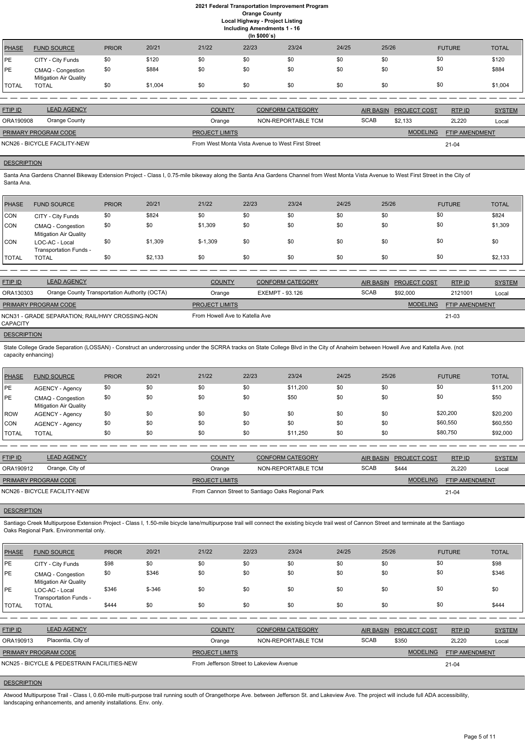**(In \$000`s)** PHASE FUND SOURCE PRIOR 20/21 21/22 22/23 23/24 24/25 25/26 FUTURE TOTAL PE CITY - City Funds \$0 \$120 \$0 \$0 \$0 \$0 \$0 \$0 \$0 \$0 \$0 \$0 \$120 PE CMAQ - Congestion Mitigation Air Quality \$0 \$884 \$0 \$0 \$0 \$0 \$0 \$0 \$0 \$0 \$0 \$0 \$884 TOTAL TOTAL \$0 \$1,004 \$0 \$0 \$0 \$0 \$0 \$0 \$1,004

| <b>FTIP ID</b>              | <b>LEAD AGENCY</b>           | <b>COUNTY</b>         | <b>CONFORM CATEGORY</b>                           |      | AIR BASIN PROJECT COST | RTP ID                | <b>SYSTEM</b> |
|-----------------------------|------------------------------|-----------------------|---------------------------------------------------|------|------------------------|-----------------------|---------------|
| ORA190908                   | Orange County                | Orange                | NON-REPORTABLE TCM                                | SCAB | \$2.133                | 2L220                 | Local         |
| <b>PRIMARY PROGRAM CODE</b> |                              | <b>PROJECT LIMITS</b> |                                                   |      | <b>MODELING</b>        | <b>FTIP AMENDMENT</b> |               |
|                             | NCN26 - BICYCLE FACILITY-NEW |                       | From West Monta Vista Avenue to West First Street |      |                        | 21-04                 |               |

## **DESCRIPTION**

Santa Ana Gardens Channel Bikeway Extension Project - Class I, 0.75-mile bikeway along the Santa Ana Gardens Channel from West Monta Vista Avenue to West First Street in the City of Santa Ana.

| PHASE        | <b>FUND SOURCE</b>                                 | <b>PRIOR</b> | 20/21   | 21/22     | 22/23 | 23/24 | 24/25 | 25/26 | <b>FUTURE</b> | <b>TOTAL</b> |
|--------------|----------------------------------------------------|--------------|---------|-----------|-------|-------|-------|-------|---------------|--------------|
| CON          | CITY - City Funds                                  | \$0          | \$824   | \$0       | \$0   | \$0   | \$0   | \$0   | \$0           | \$824        |
| <b>CON</b>   | CMAQ - Congestion<br><b>Mitigation Air Quality</b> | \$0          | \$0     | \$1,309   | \$0   | \$0   | \$0   | \$0   | \$0           | \$1,309      |
| <b>CON</b>   | LOC-AC - Local<br>Transportation Funds -           | \$0          | \$1,309 | $$-1,309$ | \$0   | \$0   | \$0   | \$0   | \$0           | \$0          |
| <b>TOTAL</b> | <b>TOTAL</b>                                       | \$0          | \$2,133 | \$0       | \$0   | \$0   | \$0   | \$0   | \$0           | \$2,133      |

Santiago Creek Multipurpose Extension Project - Class I, 1.50-mile bicycle lane/multipurpose trail will connect the existing bicycle trail west of Cannon Street and terminate at the Santiago Oaks Regional Park. Environmental only.

| <b>FTIP ID</b>              | <b>LEAD AGENCY</b>                              | <b>COUNTY</b>                  | <b>CONFORM CATEGORY</b> | AIR BASIN   | <b>PROJECT COST</b> | RTP ID                | <b>SYSTEM</b> |
|-----------------------------|-------------------------------------------------|--------------------------------|-------------------------|-------------|---------------------|-----------------------|---------------|
| ORA130303                   | Orange County Transportation Authority (OCTA)   | Orange                         | EXEMPT - 93.126         | <b>SCAB</b> | \$92,000            | 2121001               | Local         |
| <b>PRIMARY PROGRAM CODE</b> |                                                 | <b>PROJECT LIMITS</b>          |                         |             | <b>MODELING</b>     | <b>FTIP AMENDMENT</b> |               |
| CAPACITY                    | NCN31 - GRADE SEPARATION: RAIL/HWY CROSSING-NON | From Howell Ave to Katella Ave |                         |             |                     | 21-03                 |               |
|                             |                                                 |                                |                         |             |                     |                       |               |

#### **DESCRIPTION**

State College Grade Separation (LOSSAN) - Construct an undercrossing under the SCRRA tracks on State College Blvd in the City of Anaheim between Howell Ave and Katella Ave. (not capacity enhancing)

Atwood Multipurpose Trail - Class I, 0.60-mile multi-purpose trail running south of Orangethorpe Ave. between Jefferson St. and Lakeview Ave. The project will include full ADA accessibility, landscaping enhancements, and amenity installations. Env. only.

| PHASE        | <b>FUND SOURCE</b>                                 | <b>PRIOR</b> | 20/21 | 21/22 | 22/23 | 23/24    | 24/25 | 25/26 | <b>FUTURE</b> | <b>TOTAL</b> |
|--------------|----------------------------------------------------|--------------|-------|-------|-------|----------|-------|-------|---------------|--------------|
| PE           | AGENCY - Agency                                    | \$0          | \$0   | \$0   | \$0   | \$11.200 | \$0   | \$0   | \$0           | \$11,200     |
| PE           | CMAQ - Congestion<br><b>Mitigation Air Quality</b> | \$0          | \$0   | \$0   | \$0   | \$50     | \$0   | \$0   | \$0           | \$50         |
| ROW          | AGENCY - Agency                                    | \$0          | \$0   | \$0   | \$0   | \$0      | \$0   | \$0   | \$20,200      | \$20,200     |
| <b>CON</b>   | AGENCY - Agency                                    | \$0          | \$0   | \$0   | \$0   | \$0      | \$0   | \$0   | \$60,550      | \$60,550     |
| <b>TOTAL</b> | <b>TOTAL</b>                                       | \$0          | \$0   | \$0   | \$0   | \$11.250 | \$0   | \$0   | \$80,750      | \$92,000     |

| <b>FTIP ID</b>              | <b>LEAD AGENCY</b>           | <b>COUNTY</b>         | CONFORM CATEGORY                                  |             | AIR BASIN PROJECT COST | RTPID                 | <b>SYSTEM</b> |
|-----------------------------|------------------------------|-----------------------|---------------------------------------------------|-------------|------------------------|-----------------------|---------------|
| ORA190912                   | Orange, City of              | Orange                | NON-REPORTABLE TCM                                | <b>SCAB</b> | \$444                  | 2L220                 | Local         |
| <b>PRIMARY PROGRAM CODE</b> |                              | <b>PROJECT LIMITS</b> |                                                   |             | <b>MODELING</b>        | <b>FTIP AMENDMENT</b> |               |
|                             | NCN26 - BICYCLE FACILITY-NEW |                       | From Cannon Street to Santiago Oaks Regional Park |             |                        | 21-04                 |               |

## **DESCRIPTION**

| <b>PHASF</b> | <b>FUND SOURCE</b> | <b>PRIOR</b> | 20/21 | 21/22 | 22/23 | 23/24 | 24/25 | 25/26 | <b>FUTURE</b> | <b>TOTAL</b> |
|--------------|--------------------|--------------|-------|-------|-------|-------|-------|-------|---------------|--------------|
|              |                    |              |       |       |       |       |       |       |               |              |
|              |                    |              |       |       |       |       |       |       |               |              |
|              |                    |              |       |       |       |       |       |       |               |              |

| PE             | CITY - City Funds                                  | \$98  | \$0      | \$0                   | \$0                                      | \$0                     | \$0 | \$0              | \$0             |                | \$98          |
|----------------|----------------------------------------------------|-------|----------|-----------------------|------------------------------------------|-------------------------|-----|------------------|-----------------|----------------|---------------|
| PE             | CMAQ - Congestion<br><b>Mitigation Air Quality</b> | \$0   | \$346    | \$0                   | \$0                                      | \$0                     | \$0 | \$0              | \$0             |                | \$346         |
| <b>IPE</b>     | LOC-AC - Local<br>Transportation Funds -           | \$346 | $$ -346$ | \$0                   | \$0                                      | \$0                     | \$0 | \$0              | \$0             |                | \$0           |
| <b>TOTAL</b>   | <b>TOTAL</b>                                       | \$444 | \$0      | \$0                   | \$0                                      | \$0                     | \$0 | \$0              | \$0             |                | \$444         |
|                |                                                    |       |          |                       |                                          |                         |     |                  |                 |                |               |
| <b>FTIP ID</b> | <b>LEAD AGENCY</b>                                 |       |          | <b>COUNTY</b>         |                                          | <b>CONFORM CATEGORY</b> |     | <b>AIR BASIN</b> | PROJECT COST    | RTP ID         | <b>SYSTEM</b> |
| ORA190913      | Placentia, City of                                 |       |          | Orange                |                                          | NON-REPORTABLE TCM      |     | <b>SCAB</b>      | \$350           | 2L220          | Local         |
|                | PRIMARY PROGRAM CODE                               |       |          | <b>PROJECT LIMITS</b> |                                          |                         |     |                  | <b>MODELING</b> | FTIP AMENDMENT |               |
|                | NCN25 - BICYCLE & PEDESTRAIN FACILITIES-NEW        |       |          |                       | From Jefferson Street to Lakeview Avenue |                         |     |                  |                 | $21 - 04$      |               |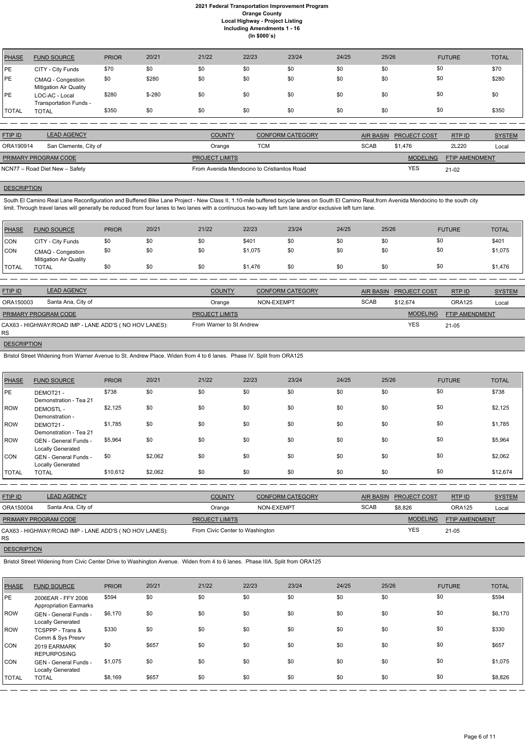| <b>PHASE</b> | <b>FUND SOURCE</b>                                 | <b>PRIOR</b> | 20/21    | 21/22 | 22/23 | 23/24 | 24/25 | 25/26 | <b>FUTURE</b> | <b>TOTAL</b> |
|--------------|----------------------------------------------------|--------------|----------|-------|-------|-------|-------|-------|---------------|--------------|
| PE           | CITY - City Funds                                  | \$70         | \$0      | \$0   | \$0   | \$0   | \$0   | \$0   | \$0           | \$70         |
| PE           | CMAQ - Congestion<br><b>Mitigation Air Quality</b> | \$0          | \$280    | \$0   | \$0   | \$0   | \$0   | \$0   | \$0           | \$280        |
| PE           | LOC-AC - Local<br>Transportation Funds -           | \$280        | $$ -280$ | \$0   | \$0   | \$0   | \$0   | \$0   | \$0           | \$0          |
| <b>TOTAL</b> | <b>TOTAL</b>                                       | \$350        | \$0      | \$0   | \$0   | \$0   | \$0   | \$0   | \$0           | \$350        |

South El Camino Real Lane Reconfiguration and Buffered Bike Lane Project - New Class II, 1.10-mile buffered bicycle lanes on South El Camino Real, from Avenida Mendocino to the south city limit. Through travel lanes will generally be reduced from four lanes to two lanes with a continuous two-way left turn lane and/or exclusive left turn lane.

| <b>FTIP ID</b>       | <b>LEAD AGENCY</b>             | <b>COUNTY</b>                               | <b>CONFORM CATEGORY</b> |             | AIR BASIN PROJECT COST | RTPID                 | <b>SYSTEM</b> |
|----------------------|--------------------------------|---------------------------------------------|-------------------------|-------------|------------------------|-----------------------|---------------|
| ORA190914            | San Clemente, City of          | Orange                                      | тсм                     | <b>SCAB</b> | \$1.476                | 2L220                 | Local         |
| PRIMARY PROGRAM CODE |                                | <b>PROJECT LIMITS</b>                       |                         |             | <b>MODELING</b>        | <b>FTIP AMENDMENT</b> |               |
|                      | NCN77 – Road Diet New – Safety | From Avenida Mendocino to Cristianitos Road |                         |             | <b>YES</b>             | $21 - 02$             |               |

# **DESCRIPTION**

| PHASE          | <b>FUND SOURCE</b>                                     | <b>PRIOR</b> | 20/21 | 21/22                    | 22/23   | 23/24                   | 24/25 | 25/26            |                     | <b>FUTURE</b>  | <b>TOTAL</b>  |
|----------------|--------------------------------------------------------|--------------|-------|--------------------------|---------|-------------------------|-------|------------------|---------------------|----------------|---------------|
| <b>CON</b>     | CITY - City Funds                                      | \$0          | \$0   | \$0                      | \$401   | \$0                     | \$0   | \$0              | \$0                 |                | \$401         |
| <b>CON</b>     | CMAQ - Congestion<br><b>Mitigation Air Quality</b>     | \$0          | \$0   | \$0                      | \$1,075 | \$0                     | \$0   | \$0              | \$0                 |                | \$1,075       |
| <b>TOTAL</b>   | <b>TOTAL</b>                                           | \$0          | \$0   | \$0                      | \$1,476 | \$0                     | \$0   | \$0              | \$0                 |                | \$1,476       |
|                |                                                        |              |       |                          |         |                         |       |                  |                     |                |               |
| <b>FTIP ID</b> | <b>LEAD AGENCY</b>                                     |              |       | <b>COUNTY</b>            |         | <b>CONFORM CATEGORY</b> |       | <b>AIR BASIN</b> | <b>PROJECT COST</b> | RTP ID         | <b>SYSTEM</b> |
| ORA150003      | Santa Ana, City of                                     |              |       | Orange                   |         | NON-EXEMPT              |       | <b>SCAB</b>      | \$12.674            | <b>ORA125</b>  | Local         |
|                | PRIMARY PROGRAM CODE                                   |              |       | <b>PROJECT LIMITS</b>    |         |                         |       |                  | <b>MODELING</b>     | FTIP AMENDMENT |               |
| <b>RS</b>      | CAX63 - HIGHWAY/ROAD IMP - LANE ADD'S ( NO HOV LANES): |              |       | From Warner to St Andrew |         |                         |       |                  | <b>YES</b>          | 21-05          |               |

**DESCRIPTION** 

Bristol Street Widening from Warner Avenue to St. Andrew Place. Widen from 4 to 6 lanes. Phase IV. Split from ORA125

| <b>PHASE</b> | <b>FUND SOURCE</b>                                       | <b>PRIOR</b> | 20/21   | 21/22 | 22/23 | 23/24 | 24/25 | 25/26 | <b>FUTURE</b> | <b>TOTAL</b> |
|--------------|----------------------------------------------------------|--------------|---------|-------|-------|-------|-------|-------|---------------|--------------|
| PE           | DEMOT21 -<br>Demonstration - Tea 21                      | \$738        | \$0     | \$0   | \$0   | \$0   | \$0   | \$0   | \$0           | \$738        |
| ROW          | <b>DEMOSTL-</b><br>Demonstration -                       | \$2,125      | \$0     | \$0   | \$0   | \$0   | \$0   | \$0   | \$0           | \$2,125      |
| ROW          | DEMOT21 -<br>Demonstration - Tea 21                      | \$1,785      | \$0     | \$0   | \$0   | \$0   | \$0   | \$0   | \$0           | \$1,785      |
| ROW          | <b>GEN</b> - General Funds -<br><b>Locally Generated</b> | \$5,964      | \$0     | \$0   | \$0   | \$0   | \$0   | \$0   | \$0           | \$5,964      |
| CON          | <b>GEN</b> - General Funds -<br><b>Locally Generated</b> | \$0          | \$2,062 | \$0   | \$0   | \$0   | \$0   | \$0   | \$0           | \$2,062      |
| <b>TOTAL</b> | <b>TOTAL</b>                                             | \$10,612     | \$2,062 | \$0   | \$0   | \$0   | \$0   | \$0   | \$0           | \$12,674     |

| <b>FTIP ID</b>              | <b>LEAD AGENCY</b>                                    | <b>COUNTY</b>                   | <b>CONFORM CATEGORY</b> | <b>AIR BASIN</b> | <b>PROJECT COST</b> | RTP ID                | <b>SYSTEM</b> |
|-----------------------------|-------------------------------------------------------|---------------------------------|-------------------------|------------------|---------------------|-----------------------|---------------|
| ORA150004                   | Santa Ana, City of                                    | Orange                          | NON-EXEMPT              | <b>SCAB</b>      | \$8.826             | <b>ORA125</b>         | Local         |
| <b>PRIMARY PROGRAM CODE</b> |                                                       | <b>PROJECT LIMITS</b>           |                         |                  | <b>MODELING</b>     | <b>FTIP AMENDMENT</b> |               |
| RS.                         | CAX63 - HIGHWAY/ROAD IMP - LANE ADD'S (NO HOV LANES): | From Civic Center to Washington |                         | <b>YES</b>       | 21-05               |                       |               |

| PHASE        | <b>FUND SOURCE</b>                                  | <b>PRIOR</b> | 20/21 | 21/22 | 22/23 | 23/24 | 24/25 | 25/26 | <b>FUTURE</b> | <b>TOTAL</b> |
|--------------|-----------------------------------------------------|--------------|-------|-------|-------|-------|-------|-------|---------------|--------------|
| PE           | 2006EAR - FFY 2006<br><b>Appropriation Earmarks</b> | \$594        | \$0   | \$0   | \$0   | \$0   | \$0   | \$0   | \$0           | \$594        |
| ROW          | GEN - General Funds -<br>Locally Generated          | \$6,170      | \$0   | \$0   | \$0   | \$0   | \$0   | \$0   | \$0           | \$6,170      |
| ROW          | TCSPPP - Trans &<br>Comm & Sys Presrv               | \$330        | \$0   | \$0   | \$0   | \$0   | \$0   | \$0   | \$0           | \$330        |
| CON          | 2019 EARMARK<br><b>REPURPOSING</b>                  | \$0          | \$657 | \$0   | \$0   | \$0   | \$0   | \$0   | \$0           | \$657        |
| CON          | <b>GEN - General Funds -</b><br>Locally Generated   | \$1,075      | \$0   | \$0   | \$0   | \$0   | \$0   | \$0   | \$0           | \$1,075      |
| <b>TOTAL</b> | <b>TOTAL</b>                                        | \$8,169      | \$657 | \$0   | \$0   | \$0   | \$0   | \$0   | \$0           | \$8,826      |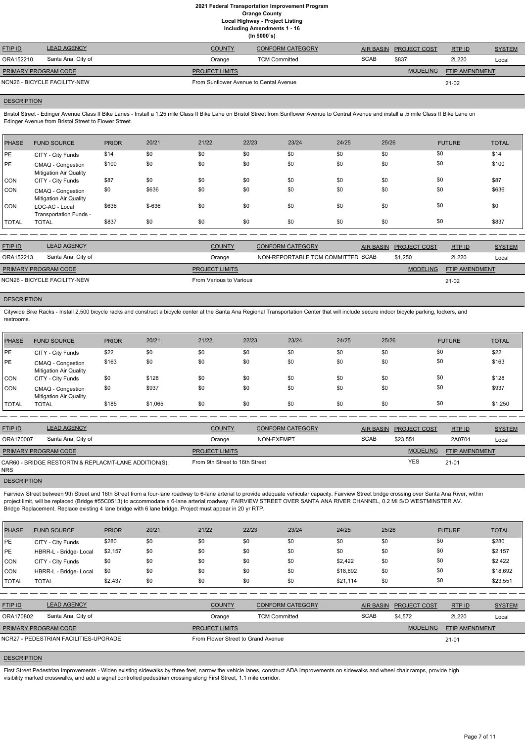|                             |                              |                                        | $(III$ JUUU S)          |             |                        |                |               |
|-----------------------------|------------------------------|----------------------------------------|-------------------------|-------------|------------------------|----------------|---------------|
| <b>FTIP ID</b>              | <b>LEAD AGENCY</b>           | <b>COUNTY</b>                          | <b>CONFORM CATEGORY</b> |             | AIR BASIN PROJECT COST | RTPID          | <b>SYSTEM</b> |
| ORA152210                   | Santa Ana, City of           | Orange                                 | <b>TCM Committed</b>    | <b>SCAB</b> | \$837                  | 2L220          | Local         |
| <b>PRIMARY PROGRAM CODE</b> |                              | <b>PROJECT LIMITS</b>                  |                         |             | <b>MODELING</b>        | FTIP AMENDMENT |               |
|                             | NCN26 - BICYCLE FACILITY-NEW | From Sunflower Avenue to Cental Avenue | 21-02                   |             |                        |                |               |

#### **DESCRIPTION**

Bristol Street - Edinger Avenue Class II Bike Lanes - Install a 1.25 mile Class II Bike Lane on Bristol Street from Sunflower Avenue to Central Avenue and install a .5 mile Class II Bike Lane on Edinger Avenue from Bristol Street to Flower Street.

| <b>PHASE</b> | <b>FUND SOURCE</b>                                 | <b>PRIOR</b> | 20/21   | 21/22 | 22/23 | 23/24 | 24/25 | 25/26 | <b>FUTURE</b> | <b>TOTAL</b> |
|--------------|----------------------------------------------------|--------------|---------|-------|-------|-------|-------|-------|---------------|--------------|
| PE           | CITY - City Funds                                  | \$14         | \$0     | \$0   | \$0   | \$0   | \$0   | \$0   | \$0           | \$14         |
| <b>PE</b>    | CMAQ - Congestion<br><b>Mitigation Air Quality</b> | \$100        | \$0     | \$0   | \$0   | \$0   | \$0   | \$0   | \$0           | \$100        |
| CON          | CITY - City Funds                                  | \$87         | \$0     | \$0   | \$0   | \$0   | \$0   | \$0   | \$0           | \$87         |
| ICON.        | CMAQ - Congestion<br><b>Mitigation Air Quality</b> | \$0          | \$636   | \$0   | \$0   | \$0   | \$0   | \$0   | \$0           | \$636        |
| CON          | LOC-AC - Local<br>Transportation Funds -           | \$636        | $$-636$ | \$0   | \$0   | \$0   | \$0   | \$0   | \$0           | \$0          |
| <b>TOTAL</b> | <b>TOTAL</b>                                       | \$837        | \$0     | \$0   | \$0   | \$0   | \$0   | \$0   | \$0           | \$837        |

| <b>FTIP ID</b>              | <b>LEAD AGENCY</b>           | <b>COUNTY</b>           | <b>CONFORM CATEGORY</b>           | AIR BASIN PROJECT COST | <b>RTPID</b>          | <b>SYSTEM</b> |
|-----------------------------|------------------------------|-------------------------|-----------------------------------|------------------------|-----------------------|---------------|
| ORA152213                   | Santa Ana, City of           | Orange                  | NON-REPORTABLE TCM COMMITTED SCAB | \$1.250                | 2L220                 | Local         |
| <b>PRIMARY PROGRAM CODE</b> |                              | <b>PROJECT LIMITS</b>   |                                   | <b>MODELING</b>        | <b>FTIP AMENDMENT</b> |               |
|                             | NCN26 - BICYCLE FACILITY-NEW | From Various to Various |                                   |                        | 21-02                 |               |

#### **DESCRIPTION**

Fairview Street between 9th Street and 16th Street from a four-lane roadway to 6-lane arterial to provide adequate vehicular capacity. Fairview Street bridge crossing over Santa Ana River, within project limit, will be replaced (Bridge #55C0513) to accommodate a 6-lane arterial roadway. FAIRVIEW STREET OVER SANTA ANA RIVER CHANNEL, 0.2 MI S/O WESTMINSTER AV. Bridge Replacement. Replace existing 4 lane bridge with 6 lane bridge. Project must appear in 20 yr RTP.

Citywide Bike Racks - Install 2,500 bicycle racks and construct a bicycle center at the Santa Ana Regional Transportation Center that will include secure indoor bicycle parking, lockers, and restrooms.

| PHASE   | <b>FUND SOURCE</b>                                 | <b>PRIOR</b> | 20/21   | 21/22 | 22/23 | 23/24 | 24/25 | 25/26 | <b>FUTURE</b> | <b>TOTAL</b> |
|---------|----------------------------------------------------|--------------|---------|-------|-------|-------|-------|-------|---------------|--------------|
| PE      | CITY - City Funds                                  | \$22         | \$0     | \$0   | \$0   | \$0   | \$0   | \$0   | \$0           | \$22         |
| PE      | CMAQ - Congestion<br><b>Mitigation Air Quality</b> | \$163        | \$0     | \$0   | \$0   | \$0   | \$0   | \$0   | \$0           | \$163        |
| ICON    | CITY - City Funds                                  | \$0          | \$128   | \$0   | \$0   | \$0   | \$0   | \$0   | \$0           | \$128        |
| CON     | CMAQ - Congestion<br><b>Mitigation Air Quality</b> | \$0          | \$937   | \$0   | \$0   | \$0   | \$0   | \$0   | \$0           | \$937        |
| I TOTAL | <b>TOTAL</b>                                       | \$185        | \$1,065 | \$0   | \$0   | \$0   | \$0   | \$0   | \$0           | \$1,250      |

| <b>FTIP ID</b>       | <b>LEAD AGENCY</b>                                   | <b>COUNTY</b>                  | <b>CONFORM CATEGORY</b> |             | AIR BASIN PROJECT COST | RTP ID         | <b>SYSTEM</b> |
|----------------------|------------------------------------------------------|--------------------------------|-------------------------|-------------|------------------------|----------------|---------------|
| ORA170007            | Santa Ana, City of                                   | Orange                         | NON-EXEMPT              | <b>SCAB</b> | \$23.551               | 2A0704         | Local         |
| PRIMARY PROGRAM CODE |                                                      | <b>PROJECT LIMITS</b>          |                         |             | <b>MODELING</b>        | FTIP AMENDMENT |               |
| <b>NRS</b>           | CAR60 - BRIDGE RESTORTN & REPLACMT-LANE ADDITION(S): | From 9th Street to 16th Street |                         |             | <b>YES</b>             | $21 - 01$      |               |

**DESCRIPTION** 

| <b>PHASE</b>         | <b>FUND SOURCE</b>                    | <b>PRIOR</b> | 20/21 | 21/22                 | 22/23                              | 23/24                   | 24/25    | 25/26            |                     | <b>FUTURE</b>  | <b>TOTAL</b>  |
|----------------------|---------------------------------------|--------------|-------|-----------------------|------------------------------------|-------------------------|----------|------------------|---------------------|----------------|---------------|
| PE                   | CITY - City Funds                     | \$280        | \$0   | \$0                   | \$0                                | \$0                     | \$0      | \$0              | \$0                 |                | \$280         |
| PE                   | HBRR-L - Bridge- Local                | \$2,157      | \$0   | \$0                   | \$0                                | \$0                     | \$0      | \$0              | \$0                 |                | \$2,157       |
| CON                  | CITY - City Funds                     | \$0          | \$0   | \$0                   | \$0                                | \$0                     | \$2,422  | \$0              | \$0                 |                | \$2,422       |
| <b>CON</b>           | HBRR-L - Bridge- Local                | \$0          | \$0   | \$0                   | \$0                                | \$0                     | \$18,692 | \$0              | \$0                 |                | \$18,692      |
| <b>TOTAL</b>         | <b>TOTAL</b>                          | \$2,437      | \$0   | \$0                   | \$0                                | \$0                     | \$21,114 | \$0              | \$0                 |                | \$23,551      |
|                      |                                       |              |       |                       |                                    |                         |          |                  |                     |                |               |
| <b>FTIP ID</b>       | <b>LEAD AGENCY</b>                    |              |       | <b>COUNTY</b>         |                                    | <b>CONFORM CATEGORY</b> |          | <b>AIR BASIN</b> | <b>PROJECT COST</b> | RTPID          | <b>SYSTEM</b> |
| ORA170802            | Santa Ana, City of                    |              |       | Orange                | <b>TCM Committed</b>               |                         |          | <b>SCAB</b>      | \$4,572             | 2L220          | Local         |
| PRIMARY PROGRAM CODE |                                       |              |       | <b>PROJECT LIMITS</b> |                                    |                         |          |                  | <b>MODELING</b>     | FTIP AMENDMENT |               |
|                      | NCR27 - PEDESTRIAN FACILITIES-UPGRADE |              |       |                       | From Flower Street to Grand Avenue |                         |          |                  |                     |                |               |

## **DESCRIPTION**

First Street Pedestrian Improvements - Widen existing sidewalks by three feet, narrow the vehicle lanes, construct ADA improvements on sidewalks and wheel chair ramps, provide high visibility marked crosswalks, and add a signal controlled pedestrian crossing along First Street, 1.1 mile corridor.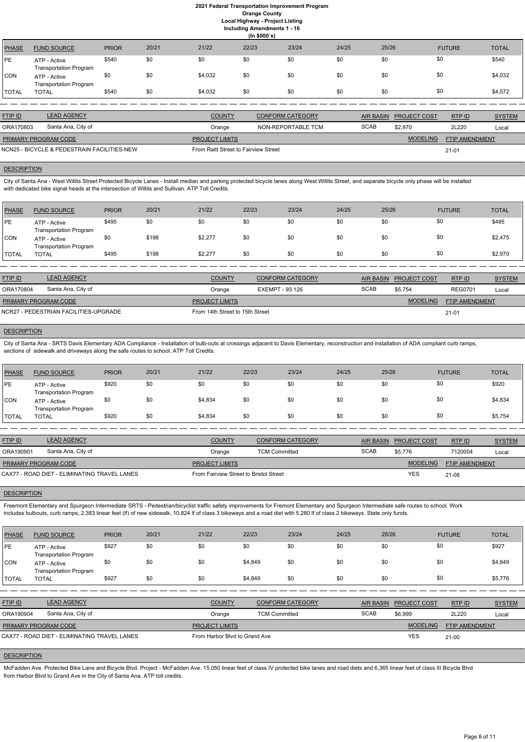## **2021 Federal Transportation Improvement Program Orange County Local Highway - Project Listing**

**Including Amendments 1 - 16**

|              | (ln \$000's)                                  |              |       |               |       |                         |       |                        |                               |               |  |
|--------------|-----------------------------------------------|--------------|-------|---------------|-------|-------------------------|-------|------------------------|-------------------------------|---------------|--|
| PHASE        | <b>FUND SOURCE</b>                            | <b>PRIOR</b> | 20/21 | 21/22         | 22/23 | 23/24                   | 24/25 | 25/26                  | <b>FUTURE</b>                 | <b>TOTAL</b>  |  |
| PE           | ATP - Active<br><b>Transportation Program</b> | \$540        | \$0   | \$0           | \$0   | \$0                     | \$0   | \$0                    | \$0                           | \$540         |  |
| CON          | ATP - Active<br><b>Transportation Program</b> | \$0          | \$0   | \$4,032       | \$0   | \$0                     | \$0   | \$0                    | \$0                           | \$4,032       |  |
| <b>TOTAL</b> | <b>TOTAL</b>                                  | \$540        | \$0   | \$4,032       | \$0   | \$0                     | \$0   | \$0                    | \$0                           | \$4,572       |  |
|              |                                               |              |       |               |       |                         |       |                        |                               |               |  |
| FTIP ID      | <b>LEAD AGENCY</b>                            |              |       | <b>COUNTY</b> |       | <b>CONFORM CATEGORY</b> |       | <b>AIR BASIN</b>       | RTP ID<br><b>PROJECT COST</b> | <b>SYSTEM</b> |  |
| ORA170803    | Santa Ana, City of                            |              |       | Orange        |       | NON-REPORTABLE TCM      |       | <b>SCAB</b><br>\$2,970 | 2L220                         | Local         |  |

MODELING

FTIP AMENDMENT

City of Santa Ana - West Willits Street Protected Bicycle Lanes - Install median and parking protected bicycle lanes along West Willits Street, and separate bicycle only phase will be installed with dedicated bike signal heads at the intersection of Willits and Sullivan. ATP Toll Credits.

21-01

PROJECT LIMITS

| PRIMARY PROGRAM CODE |  |
|----------------------|--|
|                      |  |

NCN25 - BICYCLE & PEDESTRAIN FACILITIES-NEW FROM Raitt Street to Fairview Street

## **DESCRIPTION**

City of Santa Ana - SRTS Davis Elementary ADA Compliance - Installation of bulb-outs at crossings adjacent to Davis Elementary, reconstruction and installation of ADA compliant curb ramps, sections of sidewalk and driveways along the safe routes to school. ATP Toll Credits.

| PHASE          | <b>FUND SOURCE</b>                            | <b>PRIOR</b> | 20/21 | 21/22   | 22/23 | 23/24 | 24/25 | 25/26 | <b>FUTURE</b> | <b>TOTAL</b> |
|----------------|-----------------------------------------------|--------------|-------|---------|-------|-------|-------|-------|---------------|--------------|
| <sup></sup> PE | ATP - Active<br><b>Transportation Program</b> | \$495        | \$0   | \$0     | \$0   | \$0   | \$0   | \$0   | \$0           | \$495        |
| 'CON           | ATP - Active<br><b>Transportation Program</b> | \$0          | \$198 | \$2,277 | \$0   | \$0   | \$0   | \$0   | \$0           | \$2,475      |
| <b>TOTAL</b>   | <b>TOTAL</b>                                  | \$495        | \$198 | \$2,277 | \$0   | \$0   | \$0   | \$0   | \$0           | \$2,970      |

| <b>FTIP ID</b>                        | <b>LEAD AGENCY</b> | <b>COUNTY</b>                   | <b>CONFORM CATEGORY</b> | AIR BASIN   | <b>PROJECT COST</b> | RTPID                 | <b>SYSTEM</b> |
|---------------------------------------|--------------------|---------------------------------|-------------------------|-------------|---------------------|-----------------------|---------------|
| ORA170804                             | Santa Ana, City of | Orange                          | EXEMPT - 93.126         | <b>SCAB</b> | \$5.754             | <b>REG0701</b>        | Local         |
| PRIMARY PROGRAM CODE                  |                    | <b>PROJECT LIMITS</b>           |                         |             | <b>MODELING</b>     | <b>FTIP AMENDMENT</b> |               |
| NCR27 - PEDESTRIAN FACILITIES-UPGRADE |                    | From 14th Street to 15th Street |                         | $21 - 01$   |                     |                       |               |

#### **DESCRIPTION**

| PHASE          | <b>FUND SOURCE</b>                            | <b>PRIOR</b> | 20/21 | 21/22   | 22/23 | 23/24 | 24/25 | 25/26 | <b>FUTURE</b> | <b>TOTAL</b> |
|----------------|-----------------------------------------------|--------------|-------|---------|-------|-------|-------|-------|---------------|--------------|
| l PE           | ATP - Active<br><b>Transportation Program</b> | \$920        | \$0   | \$0     | \$0   | \$0   | \$0   | \$0   | \$0           | \$920        |
| ICON.          | ATP - Active<br><b>Transportation Program</b> | \$0          | \$0   | \$4,834 | \$0   | \$0   | \$0   | \$0   | \$0           | \$4,834      |
| <b>I</b> TOTAL | TOTAL                                         | \$920        | \$0   | \$4,834 | \$0   | \$0   | \$0   | \$0   | \$0           | \$5,754      |

| <b>FTIP ID</b>                               | <b>LEAD AGENCY</b> | <b>COUNTY</b>                          | <b>CONFORM CATEGORY</b> | AIR BASIN   | <b>PROJECT COST</b> | RTPID                 | <b>SYSTEM</b> |
|----------------------------------------------|--------------------|----------------------------------------|-------------------------|-------------|---------------------|-----------------------|---------------|
| ORA190901                                    | Santa Ana, City of | Orange                                 | TCM Committed           | <b>SCAB</b> | \$5.776             | 7120004               | Local         |
| <b>PRIMARY PROGRAM CODE</b>                  |                    | <b>PROJECT LIMITS</b>                  |                         |             | <b>MODELING</b>     | <b>FTIP AMENDMENT</b> |               |
| CAX77 - ROAD DIET - ELIMINATING TRAVEL LANES |                    | From Fairview Street to Bristol Street |                         | <b>YES</b>  | 21-08               |                       |               |

#### **DESCRIPTION**

Freemont Elementary and Spurgeon Intermediate SRTS - Pedestrian/bicyclist traffic safety improvements for Fremont Elementary and Spurgeon Intermediate safe routes to school. Work includes bulbouts, curb ramps, 2,383 linear feet (lf) of new sidewalk, 10,824 lf of class 3 bikeways and a road diet with 5,280 lf of class 2 bikeways. State only funds.

| <b>PHASE</b>   | <b>FUND SOURCE</b>                            | <b>PRIOR</b> | 20/21 | 21/22                 | 22/23                         | 23/24                   | 24/25       | 25/26            |                     | <b>FUTURE</b>  | <b>TOTAL</b>  |
|----------------|-----------------------------------------------|--------------|-------|-----------------------|-------------------------------|-------------------------|-------------|------------------|---------------------|----------------|---------------|
| IPE.           | ATP - Active<br><b>Transportation Program</b> | \$927        | \$0   | \$0                   | \$0                           | \$0                     | \$0         | \$0              | \$0                 |                | \$927         |
| <b>ICON</b>    | ATP - Active<br><b>Transportation Program</b> | \$0          | \$0   | \$0                   | \$4,849                       | \$0                     | \$0         | \$0              | \$0                 |                | \$4,849       |
| <b>TOTAL</b>   | <b>TOTAL</b>                                  | \$927        | \$0   | \$0                   | \$4,849                       | \$0                     | \$0         | \$0              | \$0                 |                | \$5,776       |
|                |                                               |              |       |                       |                               |                         |             |                  |                     |                |               |
| <b>FTIP ID</b> | <b>LEAD AGENCY</b>                            |              |       | <b>COUNTY</b>         |                               | <b>CONFORM CATEGORY</b> |             | <b>AIR BASIN</b> | <b>PROJECT COST</b> | RTP ID         | <b>SYSTEM</b> |
| ORA190904      | Santa Ana, City of                            |              |       | Orange                | <b>TCM Committed</b>          |                         | <b>SCAB</b> |                  | \$6,999             | 2L220          | Local         |
|                | PRIMARY PROGRAM CODE                          |              |       | <b>PROJECT LIMITS</b> |                               |                         |             |                  | <b>MODELING</b>     | FTIP AMENDMENT |               |
|                | CAX77 - ROAD DIET - ELIMINATING TRAVEL LANES  |              |       |                       | From Harbor Blvd to Grand Ave |                         |             |                  | <b>YES</b>          | $21-00$        |               |

### **DESCRIPTION**

McFadden Ave. Protected Bike Lane and Bicycle Blvd. Project - McFadden Ave. 15,050 linear feet of class IV protected bike lanes and road diets and 6,365 linear feet of class III Bicycle Blvd from Harbor Blvd to Grand Ave in the City of Santa Ana. ATP toll credits.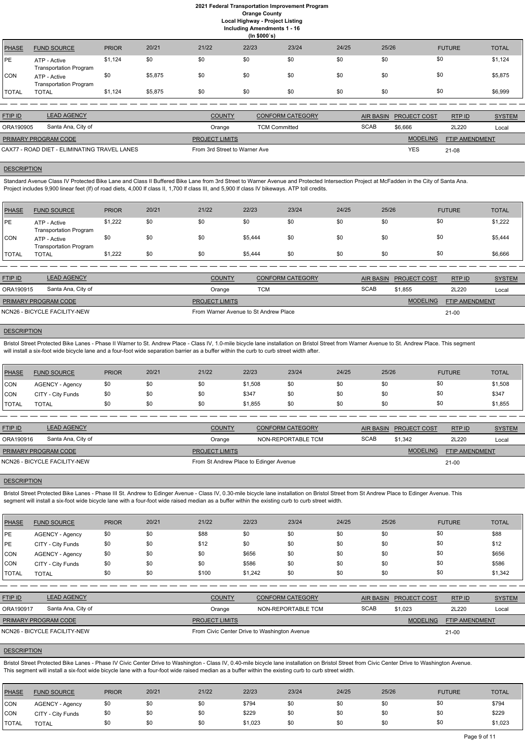## **2021 Federal Transportation Improvement Program Orange County Local Highway - Project Listing**

**Including Amendments 1 - 16**

**(In \$000`s)** PHASE FUND SOURCE PRIOR 20/21 21/22 22/23 23/24 24/25 25/26 FUTURE TOTAL PE ATP - Active Transportation Program \$1,124 \$0 \$0 \$0 \$0 \$0 \$0 \$0 \$0 \$0 \$0 \$0 \$0 \$1,124 CON ATP - Active Transportation Program \$0 \$5,875 \$0 \$0 \$0 \$0 \$0 \$0 \$5,875 TOTAL TOTAL \$1,124 \$5,875 \$0 \$0 \$0 \$0 \$0 \$0 \$6,999

Standard Avenue Class IV Protected Bike Lane and Class II Buffered Bike Lane from 3rd Street to Warner Avenue and Protected Intersection Project at McFadden in the City of Santa Ana. Project includes 9,900 linear feet (lf) of road diets, 4,000 lf class II, 1,700 lf class III, and 5,900 lf class IV bikeways. ATP toll credits.

| <b>FTIP ID</b>                               | <b>LEAD AGENCY</b> | <b>COUNTY</b>                 | <b>CONFORM CATEGORY</b> |             | AIR BASIN PROJECT COST | RTP ID                | <b>SYSTEM</b> |
|----------------------------------------------|--------------------|-------------------------------|-------------------------|-------------|------------------------|-----------------------|---------------|
| ORA190905                                    | Santa Ana, City of | Orange                        | <b>TCM Committed</b>    | <b>SCAB</b> | \$6,666                | 2L220                 | Local         |
| <b>PRIMARY PROGRAM CODE</b>                  |                    | <b>PROJECT LIMITS</b>         |                         |             | <b>MODELING</b>        | <b>FTIP AMENDMENT</b> |               |
| CAX77 - ROAD DIET - ELIMINATING TRAVEL LANES |                    | From 3rd Street to Warner Ave |                         |             | <b>YES</b>             | 21-08                 |               |

# **DESCRIPTION**

Bristol Street Protected Bike Lanes - Phase II Warner to St. Andrew Place - Class IV, 1.0-mile bicycle lane installation on Bristol Street from Warner Avenue to St. Andrew Place. This segment will install a six-foot wide bicycle lane and a four-foot wide separation barrier as a buffer within the curb to curb street width after.

| PHASE        | <b>FUND SOURCE</b>                            | <b>PRIOR</b> | 20/21 | 21/22 | 22/23   | 23/24 | 24/25 | 25/26 | <b>FUTURE</b> | <b>TOTAL</b> |
|--------------|-----------------------------------------------|--------------|-------|-------|---------|-------|-------|-------|---------------|--------------|
| PE!          | ATP - Active<br><b>Transportation Program</b> | \$1,222      | \$0   | \$0   | \$0     | \$0   | \$0   | \$0   | \$0           | \$1,222      |
| CON          | ATP - Active<br><b>Transportation Program</b> | \$0          | \$0   | \$0   | \$5,444 | \$0   | \$0   | \$0   | \$0           | \$5,444      |
| <b>TOTAL</b> | <b>TOTAL</b>                                  | \$1,222      | \$0   | \$0   | \$5,444 | \$0   | \$0   | \$0   | \$0           | \$6,666      |

Bristol Street Protected Bike Lanes - Phase III St. Andrew to Edinger Avenue - Class IV, 0.30-mile bicycle lane installation on Bristol Street from St Andrew Place to Edinger Avenue. This segment will install a six-foot wide bicycle lane with a four-foot wide raised median as a buffer within the existing curb to curb street width.

| <b>FTIP ID</b>       | <b>LEAD AGENCY</b>           | <b>COUNTY</b>                         | <b>CONFORM CATEGORY</b> |             | AIR BASIN PROJECT COST | RTP ID                | <b>SYSTEM</b> |
|----------------------|------------------------------|---------------------------------------|-------------------------|-------------|------------------------|-----------------------|---------------|
| ORA190915            | Santa Ana, City of           | Orange                                | тсм                     | <b>SCAB</b> | \$1.855                | 2L220                 | Local         |
| PRIMARY PROGRAM CODE |                              | <b>PROJECT LIMITS</b>                 |                         |             | <b>MODELING</b>        | <b>FTIP AMENDMENT</b> |               |
|                      | NCN26 - BICYCLE FACILITY-NEW | From Warner Avenue to St Andrew Place |                         |             |                        | $21-00$               |               |

# **DESCRIPTION**

Bristol Street Protected Bike Lanes - Phase IV Civic Center Drive to Washington - Class IV, 0.40-mile bicycle lane installation on Bristol Street from Civic Center Drive to Washington Avenue. This segment will install a six-foot wide bicycle lane with a four-foot wide raised median as a buffer within the existing curb to curb street width.

| <b>PHASE</b> | <b>FUND SOURCE</b>     | <b>PRIOR</b> | 20/21 | 21/22 | 22/23   | 23/24 | 24/25 | 25/26 | <b>FUTURE</b> | <b>TOTAL</b> |
|--------------|------------------------|--------------|-------|-------|---------|-------|-------|-------|---------------|--------------|
| <b>CON</b>   | <b>AGENCY - Agency</b> | \$0          | \$0   | \$0   | \$1,508 | \$0   | \$0   | \$0   | \$0           | \$1,508      |
| <b>CON</b>   | CITY - City Funds      | \$0          | \$0   | \$0   | \$347   | \$0   | \$0   | \$0   | \$0           | \$347        |
| <b>TOTAL</b> | <b>TOTAL</b>           | \$0          | \$0   | \$0   | \$1,855 | \$0   | \$0   | \$0   | \$0           | \$1,855      |

| <b>FTIP ID</b>               | <b>LEAD AGENCY</b> | <b>COUNTY</b>                          | <b>CONFORM CATEGORY</b> |             | AIR BASIN PROJECT COST | RTPID          | <b>SYSTEM</b> |
|------------------------------|--------------------|----------------------------------------|-------------------------|-------------|------------------------|----------------|---------------|
| ORA190916                    | Santa Ana, City of | Orange                                 | NON-REPORTABLE TCM      | <b>SCAB</b> | \$1,342                | 2L220          | Local         |
| PRIMARY PROGRAM CODE         |                    | <b>PROJECT LIMITS</b>                  |                         |             | <b>MODELING</b>        | FTIP AMENDMENT |               |
| NCN26 - BICYCLE FACILITY-NEW |                    | From St Andrew Place to Edinger Avenue |                         |             |                        |                |               |
|                              |                    |                                        |                         |             |                        |                |               |

# **DESCRIPTION**

| <b>PHASE</b> | <b>FUND SOURCE</b>           | <b>PRIOR</b> | 20/21 | 21/22                 | 22/23                                        | 23/24                   | 24/25       | 25/26     |                     | <b>FUTURE</b>         | <b>TOTAL</b>  |
|--------------|------------------------------|--------------|-------|-----------------------|----------------------------------------------|-------------------------|-------------|-----------|---------------------|-----------------------|---------------|
| <b>PE</b>    | <b>AGENCY - Agency</b>       | \$0          | \$0   | \$88                  | \$0                                          | \$0                     | \$0         | \$0       | \$0                 |                       | \$88          |
| PE           | CITY - City Funds            | \$0          | \$0   | \$12                  | \$0                                          | \$0                     | \$0         | \$0       | \$0                 |                       | \$12          |
| CON          | <b>AGENCY - Agency</b>       | \$0          | \$0   | \$0                   | \$656                                        | \$0                     | \$0         | \$0       | \$0                 |                       | \$656         |
| <b>CON</b>   | CITY - City Funds            | \$0          | \$0   | \$0                   | \$586                                        | \$0                     | \$0         | \$0       | \$0                 |                       | \$586         |
| <b>TOTAL</b> | <b>TOTAL</b>                 | \$0          | \$0   | \$100                 | \$1,242                                      | \$0                     | \$0         | \$0       | \$0                 |                       | \$1,342       |
|              |                              |              |       |                       |                                              |                         |             |           |                     |                       |               |
| FTIP ID      | <b>LEAD AGENCY</b>           |              |       | <b>COUNTY</b>         |                                              | <b>CONFORM CATEGORY</b> |             | AIR BASIN | <b>PROJECT COST</b> | RTP ID                | <b>SYSTEM</b> |
| ORA190917    | Santa Ana, City of           |              |       | Orange                |                                              | NON-REPORTABLE TCM      | <b>SCAB</b> |           | \$1,023             | 2L220                 | Local         |
|              | PRIMARY PROGRAM CODE         |              |       | <b>PROJECT LIMITS</b> |                                              |                         |             |           | <b>MODELING</b>     | <b>FTIP AMENDMENT</b> |               |
|              | NCN26 - BICYCLE FACILITY-NEW |              |       |                       | From Civic Center Drive to Washington Avenue |                         |             |           |                     | $21 - 00$             |               |

| PHASE        | <b>FUND SOURCE</b>     | <b>PRIOR</b> | 20/21 | 21/22 | 22/23   | 23/24 | 24/25 | 25/26 | <b>FUTURE</b> | <b>TOTAL</b> |
|--------------|------------------------|--------------|-------|-------|---------|-------|-------|-------|---------------|--------------|
| <b>CON</b>   | <b>AGENCY - Agency</b> | \$0          | \$0   | \$0   | \$794   | \$0   | \$0   |       | \$0           | \$794        |
| <b>CON</b>   | CITY - City Funds      | \$0          | \$0   | \$0   | \$229   | \$0   | \$0   |       | \$0           | \$229        |
| <b>TOTAL</b> | <b>TOTAL</b>           | \$0          | \$0   | \$0   | \$1,023 | \$0   | \$0   |       | \$0           | \$1,023      |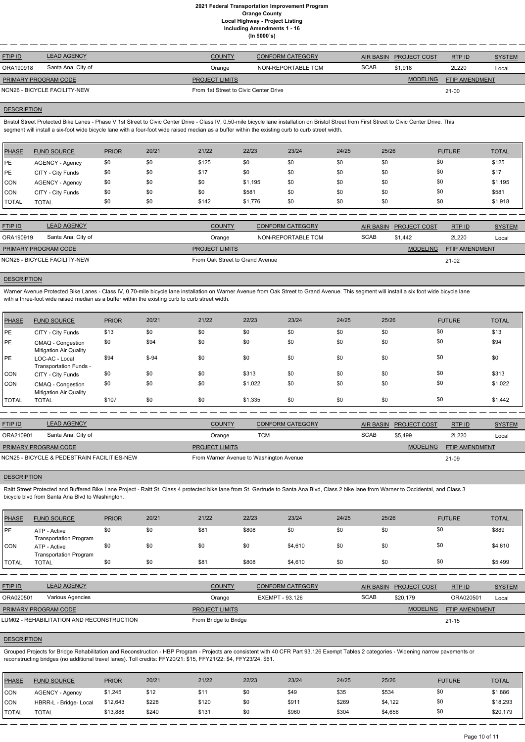| <b>FTIP ID</b>               | <b>LEAD AGENCY</b> | <b>COUNTY</b>                         | <b>CONFORM CATEGORY</b> | <b>AIR BASIN</b> | <b>PROJECT COST</b> | RTP ID                | <b>SYSTEM</b> |
|------------------------------|--------------------|---------------------------------------|-------------------------|------------------|---------------------|-----------------------|---------------|
| ORA190918                    | Santa Ana, City of | Orange                                | NON-REPORTABLE TCM      | <b>SCAB</b>      | \$1.918             | 2L220                 | Local         |
| PRIMARY PROGRAM CODE         |                    | <b>PROJECT LIMITS</b>                 |                         |                  | <b>MODELING</b>     | <b>FTIP AMENDMENT</b> |               |
| NCN26 - BICYCLE FACILITY-NEW |                    | From 1st Street to Civic Center Drive |                         | $21 - 00$        |                     |                       |               |

#### **DESCRIPTION**

Bristol Street Protected Bike Lanes - Phase V 1st Street to Civic Center Drive - Class IV, 0.50-mile bicycle lane installation on Bristol Street from First Street to Civic Center Drive. This segment will install a six-foot wide bicycle lane with a four-foot wide raised median as a buffer within the existing curb to curb street width.

Warner Avenue Protected Bike Lanes - Class IV, 0.70-mile bicycle lane installation on Warner Avenue from Oak Street to Grand Avenue. This segment will install a six foot wide bicycle lane with a three-foot wide raised median as a buffer within the existing curb to curb street width.

| PHASE      | <b>FUND SOURCE</b> | <b>PRIOR</b> | 20/21 | 21/22 | 22/23   | 23/24 | 24/25 | 25/26 | <b>FUTURE</b> | <b>TOTAL</b> |
|------------|--------------------|--------------|-------|-------|---------|-------|-------|-------|---------------|--------------|
| <b>IPE</b> | AGENCY - Agency    | \$0          | \$0   | \$125 | \$0     | \$0   | \$0   | \$0   | \$0           | \$125        |
| <b>PE</b>  | CITY - City Funds  | \$0          | \$0   | \$17  | \$0     | \$0   | \$0   | \$0   | \$0           | \$17         |
| <b>CON</b> | AGENCY - Agency    | \$0          | \$0   | \$0   | \$1,195 | \$0   | \$0   | \$0   | \$0           | \$1,195      |
| CON        | CITY - City Funds  | \$0          | \$0   | \$0   | \$581   | \$0   | \$0   | \$0   | \$0           | \$581        |
| TOTAL      | <b>TOTAL</b>       | \$0          | \$0   | \$142 | \$1,776 | \$0   | \$0   | \$0   | \$0           | \$1,918      |

| <b>FTIP ID</b>              | <b>LEAD AGENCY</b>           | <b>COUNTY</b>                   | <b>CONFORM CATEGORY</b> | <b>AIR BASIN</b> | <b>PROJECT COST</b> | RTP ID                | <b>SYSTEM</b> |
|-----------------------------|------------------------------|---------------------------------|-------------------------|------------------|---------------------|-----------------------|---------------|
| ORA190919                   | Santa Ana, City of           | Orange                          | NON-REPORTABLE TCM      | <b>SCAB</b>      | \$1.442             | 2L220                 | Local         |
| <b>PRIMARY PROGRAM CODE</b> |                              | <b>PROJECT LIMITS</b>           |                         |                  | <b>MODELING</b>     | <b>FTIP AMENDMENT</b> |               |
|                             | NCN26 - BICYCLE FACILITY-NEW | From Oak Street to Grand Avenue |                         | 21-02            |                     |                       |               |

## **DESCRIPTION**

Raitt Street Protected and Buffered Bike Lane Project - Raitt St. Class 4 protected bike lane from St. Gertrude to Santa Ana Blvd, Class 2 bike lane from Warner to Occidental, and Class 3 bicycle blvd from Santa Ana Blvd to Washington.

| <b>PHASE</b> | <b>FUND SOURCE</b>                                 | <b>PRIOR</b> | 20/21   | 21/22 | 22/23   | 23/24 | 24/25 | 25/26 | <b>FUTURE</b> | <b>TOTAL</b> |
|--------------|----------------------------------------------------|--------------|---------|-------|---------|-------|-------|-------|---------------|--------------|
| PE           | CITY - City Funds                                  | \$13         | \$0     | \$0   | \$0     | \$0   | \$0   | \$0   | \$0           | \$13         |
| <b>PE</b>    | CMAQ - Congestion<br><b>Mitigation Air Quality</b> | \$0          | \$94    | \$0   | \$0     | \$0   | \$0   | \$0   | \$0           | \$94         |
| PE           | LOC-AC - Local<br>Transportation Funds -           | \$94         | $$ -94$ | \$0   | \$0     | \$0   | \$0   | \$0   | \$0           | \$0          |
| CON          | CITY - City Funds                                  | \$0          | \$0     | \$0   | \$313   | \$0   | \$0   | \$0   | \$0           | \$313        |
| ICON.        | CMAQ - Congestion<br><b>Mitigation Air Quality</b> | \$0          | \$0     | \$0   | \$1,022 | \$0   | \$0   | \$0   | \$0           | \$1,022      |
| <b>TOTAL</b> | <b>TOTAL</b>                                       | \$107        | \$0     | \$0   | \$1,335 | \$0   | \$0   | \$0   | \$0           | \$1,442      |

| <b>LEAD AGENCY</b><br><b>FTIP ID</b> |                                             | <b>COUNTY</b>                           | <b>CONFORM CATEGORY</b> | AIR BASIN   | <b>PROJECT COST</b> | RTPID                 | <b>SYSTEM</b> |
|--------------------------------------|---------------------------------------------|-----------------------------------------|-------------------------|-------------|---------------------|-----------------------|---------------|
| ORA210901                            | Santa Ana, City of                          | Orange                                  | TCM                     | <b>SCAB</b> | \$5.499             | 2L220                 | Local         |
| <b>PRIMARY PROGRAM CODE</b>          |                                             | <b>PROJECT LIMITS</b>                   |                         |             | <b>MODELING</b>     | <b>FTIP AMENDMENT</b> |               |
|                                      | NCN25 - BICYCLE & PEDESTRAIN FACILITIES-NEW | From Warner Avenue to Washington Avenue |                         |             |                     | 21-09                 |               |

# **DESCRIPTION**

| <b>PHASE</b> | <b>FUND SOURCE</b>                            | <b>PRIOR</b> | 20/21 | 21/22                 | 22/23                  | 23/24                   | 24/25       | 25/26                                   | <b>FUTURE</b>         | <b>TOTAL</b>  |
|--------------|-----------------------------------------------|--------------|-------|-----------------------|------------------------|-------------------------|-------------|-----------------------------------------|-----------------------|---------------|
| PE           | ATP - Active<br><b>Transportation Program</b> | \$0          | \$0   | \$81                  | \$808                  | \$0                     | \$0         | \$0                                     | \$0                   | \$889         |
| ICON         | ATP - Active<br><b>Transportation Program</b> | \$0          | \$0   | \$0                   | \$0                    | \$4,610                 | \$0         | \$0                                     | \$0                   | \$4,610       |
| <b>TOTAL</b> | <b>TOTAL</b>                                  | \$0          | \$0   | \$81                  | \$808                  | \$4,610                 | \$0         | \$0                                     | \$0                   | \$5,499       |
|              |                                               |              |       |                       |                        |                         |             |                                         |                       |               |
| FTIP ID      | <b>LEAD AGENCY</b>                            |              |       | <b>COUNTY</b>         |                        | <b>CONFORM CATEGORY</b> |             | <b>AIR BASIN</b><br><b>PROJECT COST</b> | RTP ID                | <b>SYSTEM</b> |
| ORA020501    | Various Agencies                              |              |       | Orange                | <b>EXEMPT - 93.126</b> |                         | <b>SCAB</b> | \$20,179                                | ORA020501             | Local         |
|              | PRIMARY PROGRAM CODE                          |              |       | PROJECT LIMITS        |                        |                         |             | <b>MODELING</b>                         | <b>FTIP AMENDMENT</b> |               |
|              | LUM02 - REHABILITATION AND RECONSTRUCTION     |              |       | From Bridge to Bridge |                        |                         |             |                                         | $21 - 15$             |               |

#### **DESCRIPTION**

Grouped Projects for Bridge Rehabilitation and Reconstruction - HBP Program - Projects are consistent with 40 CFR Part 93.126 Exempt Tables 2 categories - Widening narrow pavements or reconstructing bridges (no additional travel lanes). Toll credits: FFY20/21: \$15, FFY21/22: \$4, FFY23/24: \$61.

| <b>PHASE</b> | <b>FUND SOURCE</b>     | <b>PRIOR</b> | 20/21 | 21/22 | 22/23 | 23/24 | 24/25 | 25/26   | <b>FUTURE</b> | <b>TOTAL</b> |
|--------------|------------------------|--------------|-------|-------|-------|-------|-------|---------|---------------|--------------|
| <b>CON</b>   | <b>AGENCY - Agency</b> | \$1,245      | \$12  |       | \$0   | \$49  | \$35  | \$534   | \$0           | \$1,886      |
| <b>CON</b>   | HBRR-L - Bridge- Local | \$12,643     | \$228 | \$120 | \$0   | \$911 | \$269 | \$4,122 | \$0           | \$18,293     |
| <b>TOTAL</b> | TOTAL                  | \$13,888     | \$240 | \$131 | \$0   | \$960 | \$304 | \$4,656 | \$0           | \$20,179     |